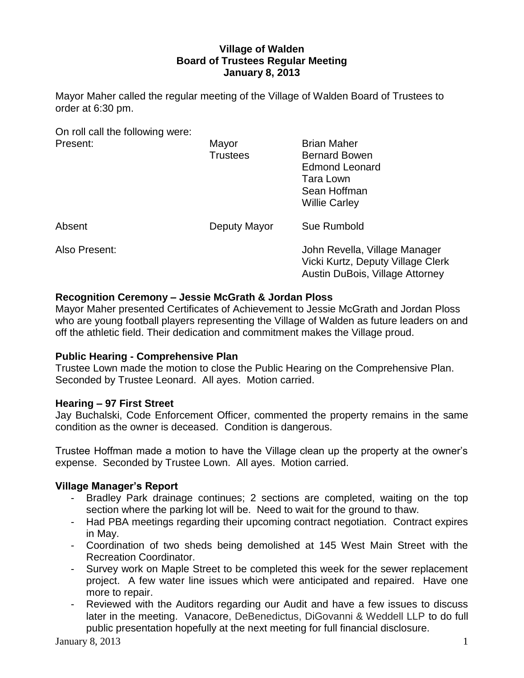## **Village of Walden Board of Trustees Regular Meeting January 8, 2013**

Mayor Maher called the regular meeting of the Village of Walden Board of Trustees to order at 6:30 pm.

On roll call the following were:

| Present:      | Mayor<br><b>Trustees</b> | <b>Brian Maher</b><br><b>Bernard Bowen</b><br><b>Edmond Leonard</b><br>Tara Lown<br>Sean Hoffman<br><b>Willie Carley</b> |
|---------------|--------------------------|--------------------------------------------------------------------------------------------------------------------------|
| Absent        | Deputy Mayor             | Sue Rumbold                                                                                                              |
| Also Present: |                          | John Revella, Village Manager<br>Vicki Kurtz, Deputy Village Clerk<br>Austin DuBois, Village Attorney                    |

# **Recognition Ceremony – Jessie McGrath & Jordan Ploss**

Mayor Maher presented Certificates of Achievement to Jessie McGrath and Jordan Ploss who are young football players representing the Village of Walden as future leaders on and off the athletic field. Their dedication and commitment makes the Village proud.

## **Public Hearing - Comprehensive Plan**

Trustee Lown made the motion to close the Public Hearing on the Comprehensive Plan. Seconded by Trustee Leonard. All ayes. Motion carried.

## **Hearing – 97 First Street**

Jay Buchalski, Code Enforcement Officer, commented the property remains in the same condition as the owner is deceased. Condition is dangerous.

Trustee Hoffman made a motion to have the Village clean up the property at the owner's expense. Seconded by Trustee Lown. All ayes. Motion carried.

# **Village Manager's Report**

- Bradley Park drainage continues; 2 sections are completed, waiting on the top section where the parking lot will be. Need to wait for the ground to thaw.
- Had PBA meetings regarding their upcoming contract negotiation. Contract expires in May.
- Coordination of two sheds being demolished at 145 West Main Street with the Recreation Coordinator.
- Survey work on Maple Street to be completed this week for the sewer replacement project. A few water line issues which were anticipated and repaired. Have one more to repair.
- Reviewed with the Auditors regarding our Audit and have a few issues to discuss later in the meeting. Vanacore, DeBenedictus, DiGovanni & Weddell LLP to do full public presentation hopefully at the next meeting for full financial disclosure.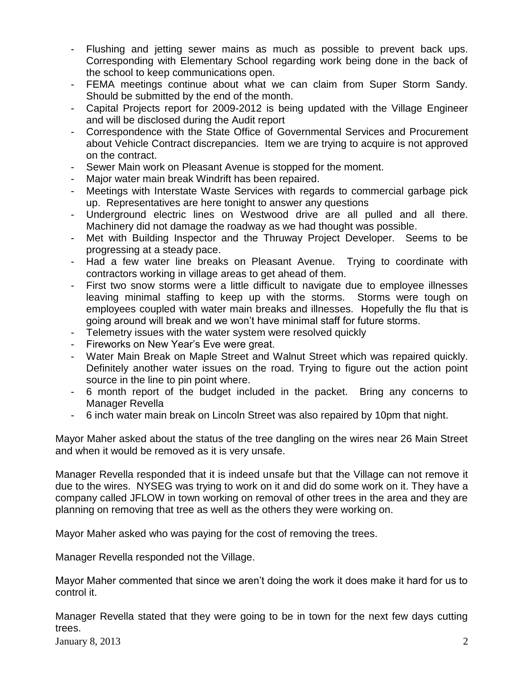- Flushing and jetting sewer mains as much as possible to prevent back ups. Corresponding with Elementary School regarding work being done in the back of the school to keep communications open.
- FEMA meetings continue about what we can claim from Super Storm Sandy. Should be submitted by the end of the month.
- Capital Projects report for 2009-2012 is being updated with the Village Engineer and will be disclosed during the Audit report
- Correspondence with the State Office of Governmental Services and Procurement about Vehicle Contract discrepancies. Item we are trying to acquire is not approved on the contract.
- Sewer Main work on Pleasant Avenue is stopped for the moment.
- Major water main break Windrift has been repaired.
- Meetings with Interstate Waste Services with regards to commercial garbage pick up. Representatives are here tonight to answer any questions
- Underground electric lines on Westwood drive are all pulled and all there. Machinery did not damage the roadway as we had thought was possible.
- Met with Building Inspector and the Thruway Project Developer. Seems to be progressing at a steady pace.
- Had a few water line breaks on Pleasant Avenue. Trying to coordinate with contractors working in village areas to get ahead of them.
- First two snow storms were a little difficult to navigate due to employee illnesses leaving minimal staffing to keep up with the storms. Storms were tough on employees coupled with water main breaks and illnesses. Hopefully the flu that is going around will break and we won't have minimal staff for future storms.
- Telemetry issues with the water system were resolved quickly
- Fireworks on New Year's Eve were great.
- Water Main Break on Maple Street and Walnut Street which was repaired quickly. Definitely another water issues on the road. Trying to figure out the action point source in the line to pin point where.
- 6 month report of the budget included in the packet. Bring any concerns to Manager Revella
- 6 inch water main break on Lincoln Street was also repaired by 10pm that night.

Mayor Maher asked about the status of the tree dangling on the wires near 26 Main Street and when it would be removed as it is very unsafe.

Manager Revella responded that it is indeed unsafe but that the Village can not remove it due to the wires. NYSEG was trying to work on it and did do some work on it. They have a company called JFLOW in town working on removal of other trees in the area and they are planning on removing that tree as well as the others they were working on.

Mayor Maher asked who was paying for the cost of removing the trees.

Manager Revella responded not the Village.

Mayor Maher commented that since we aren't doing the work it does make it hard for us to control it.

Manager Revella stated that they were going to be in town for the next few days cutting trees.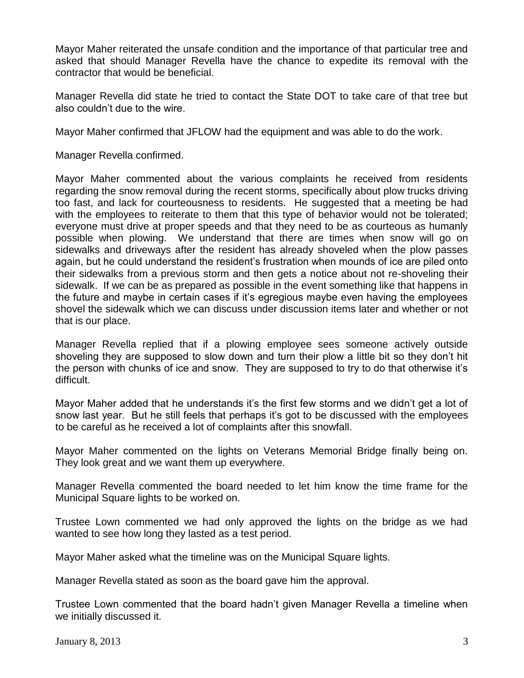Mayor Maher reiterated the unsafe condition and the importance of that particular tree and asked that should Manager Revella have the chance to expedite its removal with the contractor that would be beneficial.

Manager Revella did state he tried to contact the State DOT to take care of that tree but also couldn't due to the wire.

Mayor Maher confirmed that JFLOW had the equipment and was able to do the work.

Manager Revella confirmed.

Mayor Maher commented about the various complaints he received from residents regarding the snow removal during the recent storms, specifically about plow trucks driving too fast, and lack for courteousness to residents. He suggested that a meeting be had with the employees to reiterate to them that this type of behavior would not be tolerated; everyone must drive at proper speeds and that they need to be as courteous as humanly possible when plowing. We understand that there are times when snow will go on sidewalks and driveways after the resident has already shoveled when the plow passes again, but he could understand the resident's frustration when mounds of ice are piled onto their sidewalks from a previous storm and then gets a notice about not re-shoveling their sidewalk. If we can be as prepared as possible in the event something like that happens in the future and maybe in certain cases if it's egregious maybe even having the employees shovel the sidewalk which we can discuss under discussion items later and whether or not that is our place.

Manager Revella replied that if a plowing employee sees someone actively outside shoveling they are supposed to slow down and turn their plow a little bit so they don't hit the person with chunks of ice and snow. They are supposed to try to do that otherwise it's difficult.

Mayor Maher added that he understands it's the first few storms and we didn't get a lot of snow last year. But he still feels that perhaps it's got to be discussed with the employees to be careful as he received a lot of complaints after this snowfall.

Mayor Maher commented on the lights on Veterans Memorial Bridge finally being on. They look great and we want them up everywhere.

Manager Revella commented the board needed to let him know the time frame for the Municipal Square lights to be worked on.

Trustee Lown commented we had only approved the lights on the bridge as we had wanted to see how long they lasted as a test period.

Mayor Maher asked what the timeline was on the Municipal Square lights.

Manager Revella stated as soon as the board gave him the approval.

Trustee Lown commented that the board hadn't given Manager Revella a timeline when we initially discussed it.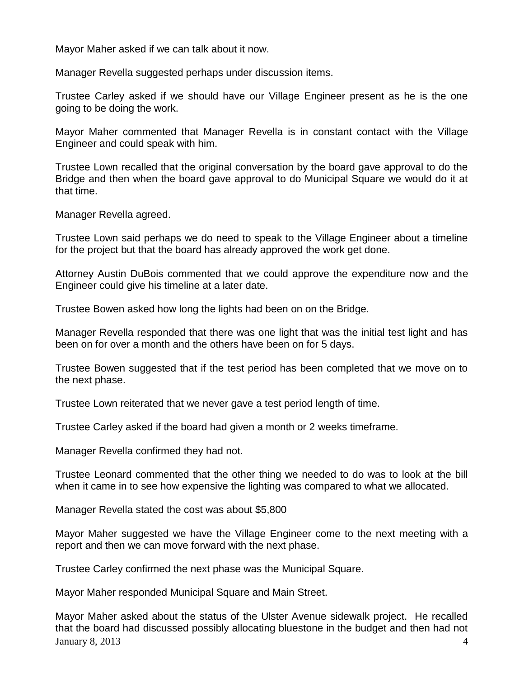Mayor Maher asked if we can talk about it now.

Manager Revella suggested perhaps under discussion items.

Trustee Carley asked if we should have our Village Engineer present as he is the one going to be doing the work.

Mayor Maher commented that Manager Revella is in constant contact with the Village Engineer and could speak with him.

Trustee Lown recalled that the original conversation by the board gave approval to do the Bridge and then when the board gave approval to do Municipal Square we would do it at that time.

Manager Revella agreed.

Trustee Lown said perhaps we do need to speak to the Village Engineer about a timeline for the project but that the board has already approved the work get done.

Attorney Austin DuBois commented that we could approve the expenditure now and the Engineer could give his timeline at a later date.

Trustee Bowen asked how long the lights had been on on the Bridge.

Manager Revella responded that there was one light that was the initial test light and has been on for over a month and the others have been on for 5 days.

Trustee Bowen suggested that if the test period has been completed that we move on to the next phase.

Trustee Lown reiterated that we never gave a test period length of time.

Trustee Carley asked if the board had given a month or 2 weeks timeframe.

Manager Revella confirmed they had not.

Trustee Leonard commented that the other thing we needed to do was to look at the bill when it came in to see how expensive the lighting was compared to what we allocated.

Manager Revella stated the cost was about \$5,800

Mayor Maher suggested we have the Village Engineer come to the next meeting with a report and then we can move forward with the next phase.

Trustee Carley confirmed the next phase was the Municipal Square.

Mayor Maher responded Municipal Square and Main Street.

January 8, 2013  $\overline{a}$  4 Mayor Maher asked about the status of the Ulster Avenue sidewalk project. He recalled that the board had discussed possibly allocating bluestone in the budget and then had not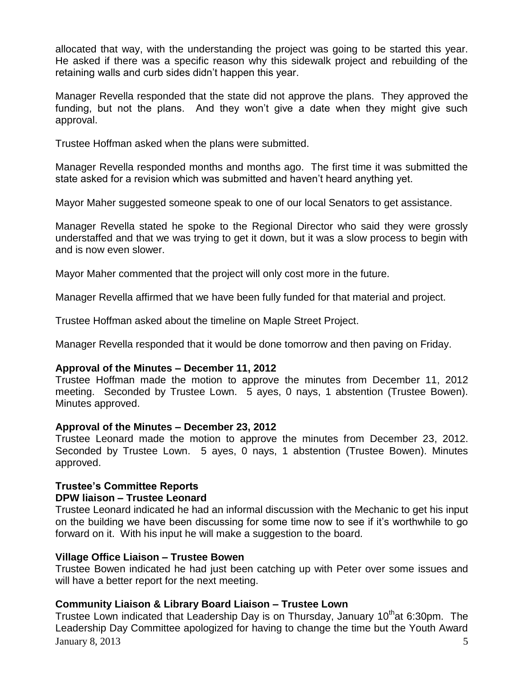allocated that way, with the understanding the project was going to be started this year. He asked if there was a specific reason why this sidewalk project and rebuilding of the retaining walls and curb sides didn't happen this year.

Manager Revella responded that the state did not approve the plans. They approved the funding, but not the plans. And they won't give a date when they might give such approval.

Trustee Hoffman asked when the plans were submitted.

Manager Revella responded months and months ago. The first time it was submitted the state asked for a revision which was submitted and haven't heard anything yet.

Mayor Maher suggested someone speak to one of our local Senators to get assistance.

Manager Revella stated he spoke to the Regional Director who said they were grossly understaffed and that we was trying to get it down, but it was a slow process to begin with and is now even slower.

Mayor Maher commented that the project will only cost more in the future.

Manager Revella affirmed that we have been fully funded for that material and project.

Trustee Hoffman asked about the timeline on Maple Street Project.

Manager Revella responded that it would be done tomorrow and then paving on Friday.

#### **Approval of the Minutes – December 11, 2012**

Trustee Hoffman made the motion to approve the minutes from December 11, 2012 meeting. Seconded by Trustee Lown. 5 ayes, 0 nays, 1 abstention (Trustee Bowen). Minutes approved.

#### **Approval of the Minutes – December 23, 2012**

Trustee Leonard made the motion to approve the minutes from December 23, 2012. Seconded by Trustee Lown. 5 ayes, 0 nays, 1 abstention (Trustee Bowen). Minutes approved.

## **Trustee's Committee Reports**

## **DPW liaison – Trustee Leonard**

Trustee Leonard indicated he had an informal discussion with the Mechanic to get his input on the building we have been discussing for some time now to see if it's worthwhile to go forward on it. With his input he will make a suggestion to the board.

## **Village Office Liaison – Trustee Bowen**

Trustee Bowen indicated he had just been catching up with Peter over some issues and will have a better report for the next meeting.

## **Community Liaison & Library Board Liaison – Trustee Lown**

January 8, 2013  $\overline{5}$ Trustee Lown indicated that Leadership Day is on Thursday, January 10<sup>th</sup>at 6:30pm. The Leadership Day Committee apologized for having to change the time but the Youth Award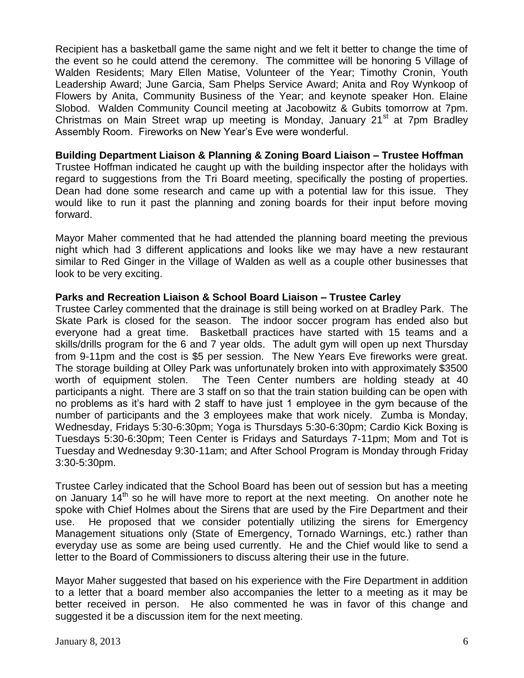Recipient has a basketball game the same night and we felt it better to change the time of the event so he could attend the ceremony. The committee will be honoring 5 Village of Walden Residents; Mary Ellen Matise, Volunteer of the Year; Timothy Cronin, Youth Leadership Award; June Garcia, Sam Phelps Service Award; Anita and Roy Wynkoop of Flowers by Anita, Community Business of the Year; and keynote speaker Hon. Elaine Slobod. Walden Community Council meeting at Jacobowitz & Gubits tomorrow at 7pm. Christmas on Main Street wrap up meeting is Monday, January 21<sup>st</sup> at 7pm Bradlev Assembly Room. Fireworks on New Year's Eve were wonderful.

## **Building Department Liaison & Planning & Zoning Board Liaison – Trustee Hoffman**

Trustee Hoffman indicated he caught up with the building inspector after the holidays with regard to suggestions from the Tri Board meeting, specifically the posting of properties. Dean had done some research and came up with a potential law for this issue. They would like to run it past the planning and zoning boards for their input before moving forward.

Mayor Maher commented that he had attended the planning board meeting the previous night which had 3 different applications and looks like we may have a new restaurant similar to Red Ginger in the Village of Walden as well as a couple other businesses that look to be very exciting.

## **Parks and Recreation Liaison & School Board Liaison – Trustee Carley**

Trustee Carley commented that the drainage is still being worked on at Bradley Park. The Skate Park is closed for the season. The indoor soccer program has ended also but everyone had a great time. Basketball practices have started with 15 teams and a skills/drills program for the 6 and 7 year olds. The adult gym will open up next Thursday from 9-11pm and the cost is \$5 per session. The New Years Eve fireworks were great. The storage building at Olley Park was unfortunately broken into with approximately \$3500 worth of equipment stolen. The Teen Center numbers are holding steady at 40 participants a night. There are 3 staff on so that the train station building can be open with no problems as it's hard with 2 staff to have just 1 employee in the gym because of the number of participants and the 3 employees make that work nicely. Zumba is Monday, Wednesday, Fridays 5:30-6:30pm; Yoga is Thursdays 5:30-6:30pm; Cardio Kick Boxing is Tuesdays 5:30-6:30pm; Teen Center is Fridays and Saturdays 7-11pm; Mom and Tot is Tuesday and Wednesday 9:30-11am; and After School Program is Monday through Friday 3:30-5:30pm.

Trustee Carley indicated that the School Board has been out of session but has a meeting on January  $14<sup>th</sup>$  so he will have more to report at the next meeting. On another note he spoke with Chief Holmes about the Sirens that are used by the Fire Department and their use. He proposed that we consider potentially utilizing the sirens for Emergency Management situations only (State of Emergency, Tornado Warnings, etc.) rather than everyday use as some are being used currently. He and the Chief would like to send a letter to the Board of Commissioners to discuss altering their use in the future.

Mayor Maher suggested that based on his experience with the Fire Department in addition to a letter that a board member also accompanies the letter to a meeting as it may be better received in person. He also commented he was in favor of this change and suggested it be a discussion item for the next meeting.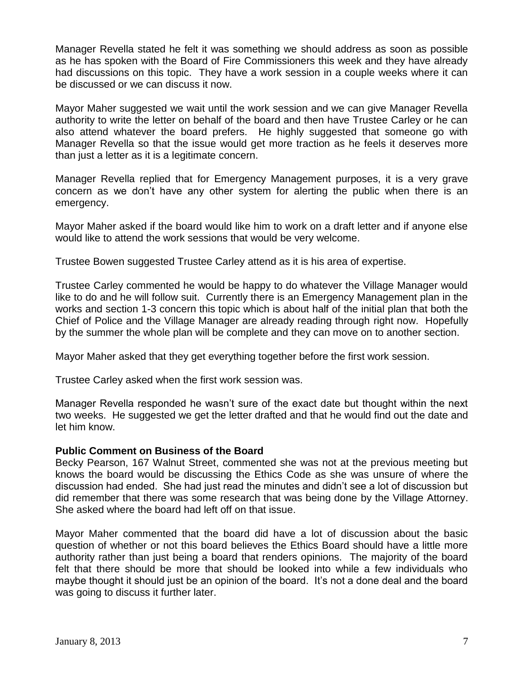Manager Revella stated he felt it was something we should address as soon as possible as he has spoken with the Board of Fire Commissioners this week and they have already had discussions on this topic. They have a work session in a couple weeks where it can be discussed or we can discuss it now.

Mayor Maher suggested we wait until the work session and we can give Manager Revella authority to write the letter on behalf of the board and then have Trustee Carley or he can also attend whatever the board prefers. He highly suggested that someone go with Manager Revella so that the issue would get more traction as he feels it deserves more than just a letter as it is a legitimate concern.

Manager Revella replied that for Emergency Management purposes, it is a very grave concern as we don't have any other system for alerting the public when there is an emergency.

Mayor Maher asked if the board would like him to work on a draft letter and if anyone else would like to attend the work sessions that would be very welcome.

Trustee Bowen suggested Trustee Carley attend as it is his area of expertise.

Trustee Carley commented he would be happy to do whatever the Village Manager would like to do and he will follow suit. Currently there is an Emergency Management plan in the works and section 1-3 concern this topic which is about half of the initial plan that both the Chief of Police and the Village Manager are already reading through right now. Hopefully by the summer the whole plan will be complete and they can move on to another section.

Mayor Maher asked that they get everything together before the first work session.

Trustee Carley asked when the first work session was.

Manager Revella responded he wasn't sure of the exact date but thought within the next two weeks. He suggested we get the letter drafted and that he would find out the date and let him know.

#### **Public Comment on Business of the Board**

Becky Pearson, 167 Walnut Street, commented she was not at the previous meeting but knows the board would be discussing the Ethics Code as she was unsure of where the discussion had ended. She had just read the minutes and didn't see a lot of discussion but did remember that there was some research that was being done by the Village Attorney. She asked where the board had left off on that issue.

Mayor Maher commented that the board did have a lot of discussion about the basic question of whether or not this board believes the Ethics Board should have a little more authority rather than just being a board that renders opinions. The majority of the board felt that there should be more that should be looked into while a few individuals who maybe thought it should just be an opinion of the board. It's not a done deal and the board was going to discuss it further later.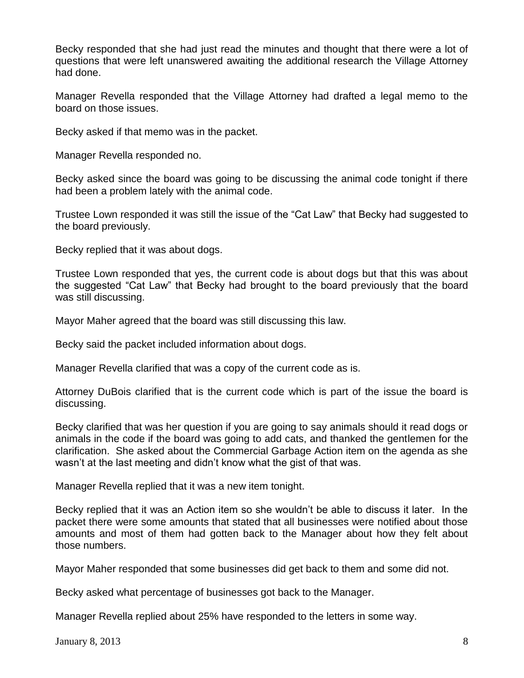Becky responded that she had just read the minutes and thought that there were a lot of questions that were left unanswered awaiting the additional research the Village Attorney had done.

Manager Revella responded that the Village Attorney had drafted a legal memo to the board on those issues.

Becky asked if that memo was in the packet.

Manager Revella responded no.

Becky asked since the board was going to be discussing the animal code tonight if there had been a problem lately with the animal code.

Trustee Lown responded it was still the issue of the "Cat Law" that Becky had suggested to the board previously.

Becky replied that it was about dogs.

Trustee Lown responded that yes, the current code is about dogs but that this was about the suggested "Cat Law" that Becky had brought to the board previously that the board was still discussing.

Mayor Maher agreed that the board was still discussing this law.

Becky said the packet included information about dogs.

Manager Revella clarified that was a copy of the current code as is.

Attorney DuBois clarified that is the current code which is part of the issue the board is discussing.

Becky clarified that was her question if you are going to say animals should it read dogs or animals in the code if the board was going to add cats, and thanked the gentlemen for the clarification. She asked about the Commercial Garbage Action item on the agenda as she wasn't at the last meeting and didn't know what the gist of that was.

Manager Revella replied that it was a new item tonight.

Becky replied that it was an Action item so she wouldn't be able to discuss it later. In the packet there were some amounts that stated that all businesses were notified about those amounts and most of them had gotten back to the Manager about how they felt about those numbers.

Mayor Maher responded that some businesses did get back to them and some did not.

Becky asked what percentage of businesses got back to the Manager.

Manager Revella replied about 25% have responded to the letters in some way.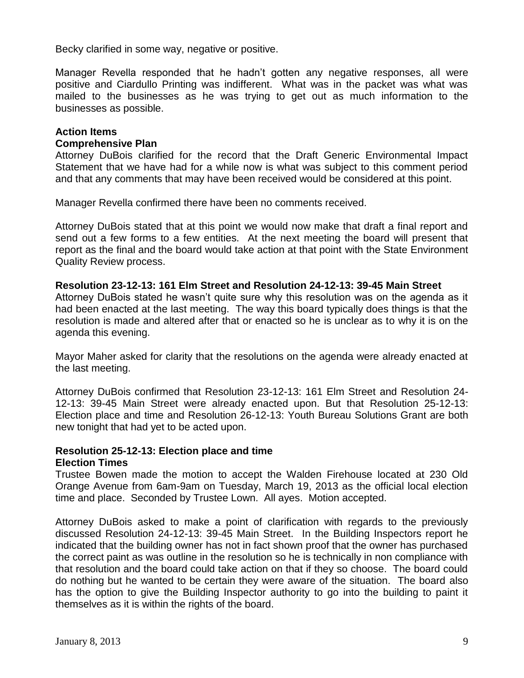Becky clarified in some way, negative or positive.

Manager Revella responded that he hadn't gotten any negative responses, all were positive and Ciardullo Printing was indifferent. What was in the packet was what was mailed to the businesses as he was trying to get out as much information to the businesses as possible.

## **Action Items**

## **Comprehensive Plan**

Attorney DuBois clarified for the record that the Draft Generic Environmental Impact Statement that we have had for a while now is what was subject to this comment period and that any comments that may have been received would be considered at this point.

Manager Revella confirmed there have been no comments received.

Attorney DuBois stated that at this point we would now make that draft a final report and send out a few forms to a few entities. At the next meeting the board will present that report as the final and the board would take action at that point with the State Environment Quality Review process.

#### **Resolution 23-12-13: 161 Elm Street and Resolution 24-12-13: 39-45 Main Street**

Attorney DuBois stated he wasn't quite sure why this resolution was on the agenda as it had been enacted at the last meeting. The way this board typically does things is that the resolution is made and altered after that or enacted so he is unclear as to why it is on the agenda this evening.

Mayor Maher asked for clarity that the resolutions on the agenda were already enacted at the last meeting.

Attorney DuBois confirmed that Resolution 23-12-13: 161 Elm Street and Resolution 24- 12-13: 39-45 Main Street were already enacted upon. But that Resolution 25-12-13: Election place and time and Resolution 26-12-13: Youth Bureau Solutions Grant are both new tonight that had yet to be acted upon.

## **Resolution 25-12-13: Election place and time Election Times**

Trustee Bowen made the motion to accept the Walden Firehouse located at 230 Old Orange Avenue from 6am-9am on Tuesday, March 19, 2013 as the official local election time and place. Seconded by Trustee Lown. All ayes. Motion accepted.

Attorney DuBois asked to make a point of clarification with regards to the previously discussed Resolution 24-12-13: 39-45 Main Street. In the Building Inspectors report he indicated that the building owner has not in fact shown proof that the owner has purchased the correct paint as was outline in the resolution so he is technically in non compliance with that resolution and the board could take action on that if they so choose. The board could do nothing but he wanted to be certain they were aware of the situation. The board also has the option to give the Building Inspector authority to go into the building to paint it themselves as it is within the rights of the board.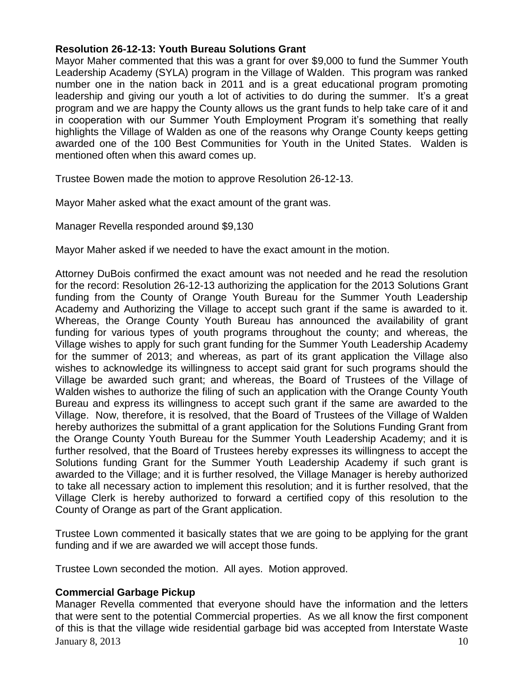## **Resolution 26-12-13: Youth Bureau Solutions Grant**

Mayor Maher commented that this was a grant for over \$9,000 to fund the Summer Youth Leadership Academy (SYLA) program in the Village of Walden. This program was ranked number one in the nation back in 2011 and is a great educational program promoting leadership and giving our youth a lot of activities to do during the summer. It's a great program and we are happy the County allows us the grant funds to help take care of it and in cooperation with our Summer Youth Employment Program it's something that really highlights the Village of Walden as one of the reasons why Orange County keeps getting awarded one of the 100 Best Communities for Youth in the United States. Walden is mentioned often when this award comes up.

Trustee Bowen made the motion to approve Resolution 26-12-13.

Mayor Maher asked what the exact amount of the grant was.

Manager Revella responded around \$9,130

Mayor Maher asked if we needed to have the exact amount in the motion.

Attorney DuBois confirmed the exact amount was not needed and he read the resolution for the record: Resolution 26-12-13 authorizing the application for the 2013 Solutions Grant funding from the County of Orange Youth Bureau for the Summer Youth Leadership Academy and Authorizing the Village to accept such grant if the same is awarded to it. Whereas, the Orange County Youth Bureau has announced the availability of grant funding for various types of youth programs throughout the county; and whereas, the Village wishes to apply for such grant funding for the Summer Youth Leadership Academy for the summer of 2013; and whereas, as part of its grant application the Village also wishes to acknowledge its willingness to accept said grant for such programs should the Village be awarded such grant; and whereas, the Board of Trustees of the Village of Walden wishes to authorize the filing of such an application with the Orange County Youth Bureau and express its willingness to accept such grant if the same are awarded to the Village. Now, therefore, it is resolved, that the Board of Trustees of the Village of Walden hereby authorizes the submittal of a grant application for the Solutions Funding Grant from the Orange County Youth Bureau for the Summer Youth Leadership Academy; and it is further resolved, that the Board of Trustees hereby expresses its willingness to accept the Solutions funding Grant for the Summer Youth Leadership Academy if such grant is awarded to the Village; and it is further resolved, the Village Manager is hereby authorized to take all necessary action to implement this resolution; and it is further resolved, that the Village Clerk is hereby authorized to forward a certified copy of this resolution to the County of Orange as part of the Grant application.

Trustee Lown commented it basically states that we are going to be applying for the grant funding and if we are awarded we will accept those funds.

Trustee Lown seconded the motion. All ayes. Motion approved.

## **Commercial Garbage Pickup**

January 8, 2013  $\hspace{1.5cm}$  10 Manager Revella commented that everyone should have the information and the letters that were sent to the potential Commercial properties. As we all know the first component of this is that the village wide residential garbage bid was accepted from Interstate Waste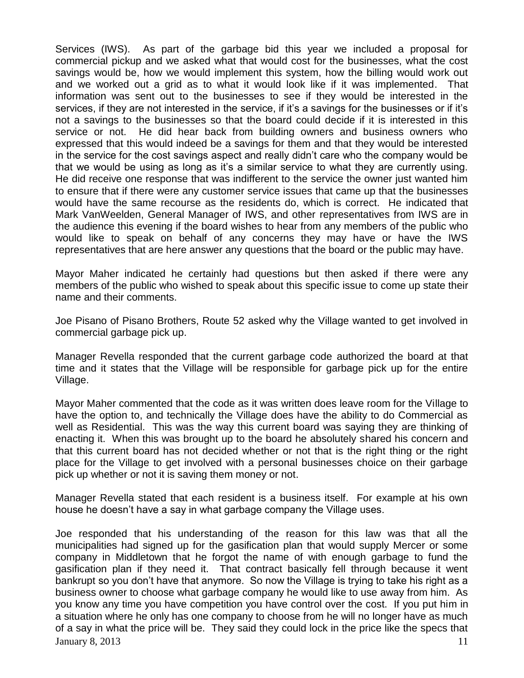Services (IWS). As part of the garbage bid this year we included a proposal for commercial pickup and we asked what that would cost for the businesses, what the cost savings would be, how we would implement this system, how the billing would work out and we worked out a grid as to what it would look like if it was implemented. That information was sent out to the businesses to see if they would be interested in the services, if they are not interested in the service, if it's a savings for the businesses or if it's not a savings to the businesses so that the board could decide if it is interested in this service or not. He did hear back from building owners and business owners who expressed that this would indeed be a savings for them and that they would be interested in the service for the cost savings aspect and really didn't care who the company would be that we would be using as long as it's a similar service to what they are currently using. He did receive one response that was indifferent to the service the owner just wanted him to ensure that if there were any customer service issues that came up that the businesses would have the same recourse as the residents do, which is correct. He indicated that Mark VanWeelden, General Manager of IWS, and other representatives from IWS are in the audience this evening if the board wishes to hear from any members of the public who would like to speak on behalf of any concerns they may have or have the IWS representatives that are here answer any questions that the board or the public may have.

Mayor Maher indicated he certainly had questions but then asked if there were any members of the public who wished to speak about this specific issue to come up state their name and their comments.

Joe Pisano of Pisano Brothers, Route 52 asked why the Village wanted to get involved in commercial garbage pick up.

Manager Revella responded that the current garbage code authorized the board at that time and it states that the Village will be responsible for garbage pick up for the entire Village.

Mayor Maher commented that the code as it was written does leave room for the Village to have the option to, and technically the Village does have the ability to do Commercial as well as Residential. This was the way this current board was saying they are thinking of enacting it. When this was brought up to the board he absolutely shared his concern and that this current board has not decided whether or not that is the right thing or the right place for the Village to get involved with a personal businesses choice on their garbage pick up whether or not it is saving them money or not.

Manager Revella stated that each resident is a business itself. For example at his own house he doesn't have a say in what garbage company the Village uses.

January 8, 2013  $\hspace{1.5cm}$  11 Joe responded that his understanding of the reason for this law was that all the municipalities had signed up for the gasification plan that would supply Mercer or some company in Middletown that he forgot the name of with enough garbage to fund the gasification plan if they need it. That contract basically fell through because it went bankrupt so you don't have that anymore. So now the Village is trying to take his right as a business owner to choose what garbage company he would like to use away from him. As you know any time you have competition you have control over the cost. If you put him in a situation where he only has one company to choose from he will no longer have as much of a say in what the price will be. They said they could lock in the price like the specs that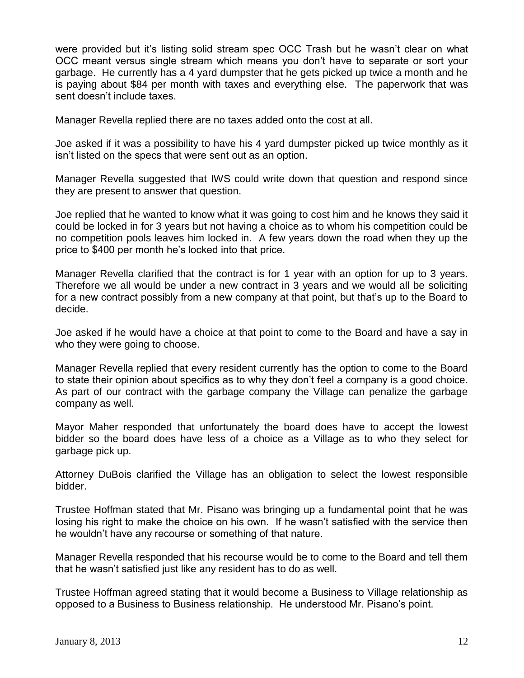were provided but it's listing solid stream spec OCC Trash but he wasn't clear on what OCC meant versus single stream which means you don't have to separate or sort your garbage. He currently has a 4 yard dumpster that he gets picked up twice a month and he is paying about \$84 per month with taxes and everything else. The paperwork that was sent doesn't include taxes.

Manager Revella replied there are no taxes added onto the cost at all.

Joe asked if it was a possibility to have his 4 yard dumpster picked up twice monthly as it isn't listed on the specs that were sent out as an option.

Manager Revella suggested that IWS could write down that question and respond since they are present to answer that question.

Joe replied that he wanted to know what it was going to cost him and he knows they said it could be locked in for 3 years but not having a choice as to whom his competition could be no competition pools leaves him locked in. A few years down the road when they up the price to \$400 per month he's locked into that price.

Manager Revella clarified that the contract is for 1 year with an option for up to 3 years. Therefore we all would be under a new contract in 3 years and we would all be soliciting for a new contract possibly from a new company at that point, but that's up to the Board to decide.

Joe asked if he would have a choice at that point to come to the Board and have a say in who they were going to choose.

Manager Revella replied that every resident currently has the option to come to the Board to state their opinion about specifics as to why they don't feel a company is a good choice. As part of our contract with the garbage company the Village can penalize the garbage company as well.

Mayor Maher responded that unfortunately the board does have to accept the lowest bidder so the board does have less of a choice as a Village as to who they select for garbage pick up.

Attorney DuBois clarified the Village has an obligation to select the lowest responsible bidder.

Trustee Hoffman stated that Mr. Pisano was bringing up a fundamental point that he was losing his right to make the choice on his own. If he wasn't satisfied with the service then he wouldn't have any recourse or something of that nature.

Manager Revella responded that his recourse would be to come to the Board and tell them that he wasn't satisfied just like any resident has to do as well.

Trustee Hoffman agreed stating that it would become a Business to Village relationship as opposed to a Business to Business relationship. He understood Mr. Pisano's point.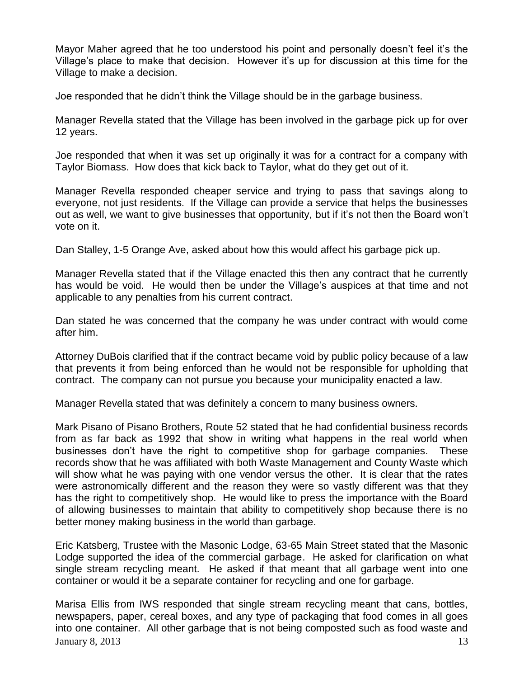Mayor Maher agreed that he too understood his point and personally doesn't feel it's the Village's place to make that decision. However it's up for discussion at this time for the Village to make a decision.

Joe responded that he didn't think the Village should be in the garbage business.

Manager Revella stated that the Village has been involved in the garbage pick up for over 12 years.

Joe responded that when it was set up originally it was for a contract for a company with Taylor Biomass. How does that kick back to Taylor, what do they get out of it.

Manager Revella responded cheaper service and trying to pass that savings along to everyone, not just residents. If the Village can provide a service that helps the businesses out as well, we want to give businesses that opportunity, but if it's not then the Board won't vote on it.

Dan Stalley, 1-5 Orange Ave, asked about how this would affect his garbage pick up.

Manager Revella stated that if the Village enacted this then any contract that he currently has would be void. He would then be under the Village's auspices at that time and not applicable to any penalties from his current contract.

Dan stated he was concerned that the company he was under contract with would come after him.

Attorney DuBois clarified that if the contract became void by public policy because of a law that prevents it from being enforced than he would not be responsible for upholding that contract. The company can not pursue you because your municipality enacted a law.

Manager Revella stated that was definitely a concern to many business owners.

Mark Pisano of Pisano Brothers, Route 52 stated that he had confidential business records from as far back as 1992 that show in writing what happens in the real world when businesses don't have the right to competitive shop for garbage companies. These records show that he was affiliated with both Waste Management and County Waste which will show what he was paying with one vendor versus the other. It is clear that the rates were astronomically different and the reason they were so vastly different was that they has the right to competitively shop. He would like to press the importance with the Board of allowing businesses to maintain that ability to competitively shop because there is no better money making business in the world than garbage.

Eric Katsberg, Trustee with the Masonic Lodge, 63-65 Main Street stated that the Masonic Lodge supported the idea of the commercial garbage. He asked for clarification on what single stream recycling meant. He asked if that meant that all garbage went into one container or would it be a separate container for recycling and one for garbage.

January 8, 2013  $\hspace{1.5cm}$  13 Marisa Ellis from IWS responded that single stream recycling meant that cans, bottles, newspapers, paper, cereal boxes, and any type of packaging that food comes in all goes into one container. All other garbage that is not being composted such as food waste and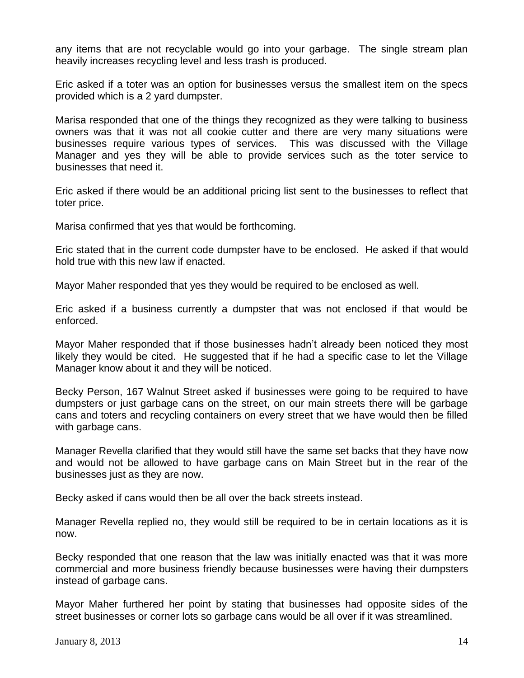any items that are not recyclable would go into your garbage. The single stream plan heavily increases recycling level and less trash is produced.

Eric asked if a toter was an option for businesses versus the smallest item on the specs provided which is a 2 yard dumpster.

Marisa responded that one of the things they recognized as they were talking to business owners was that it was not all cookie cutter and there are very many situations were businesses require various types of services. This was discussed with the Village Manager and yes they will be able to provide services such as the toter service to businesses that need it.

Eric asked if there would be an additional pricing list sent to the businesses to reflect that toter price.

Marisa confirmed that yes that would be forthcoming.

Eric stated that in the current code dumpster have to be enclosed. He asked if that would hold true with this new law if enacted.

Mayor Maher responded that yes they would be required to be enclosed as well.

Eric asked if a business currently a dumpster that was not enclosed if that would be enforced.

Mayor Maher responded that if those businesses hadn't already been noticed they most likely they would be cited. He suggested that if he had a specific case to let the Village Manager know about it and they will be noticed.

Becky Person, 167 Walnut Street asked if businesses were going to be required to have dumpsters or just garbage cans on the street, on our main streets there will be garbage cans and toters and recycling containers on every street that we have would then be filled with garbage cans.

Manager Revella clarified that they would still have the same set backs that they have now and would not be allowed to have garbage cans on Main Street but in the rear of the businesses just as they are now.

Becky asked if cans would then be all over the back streets instead.

Manager Revella replied no, they would still be required to be in certain locations as it is now.

Becky responded that one reason that the law was initially enacted was that it was more commercial and more business friendly because businesses were having their dumpsters instead of garbage cans.

Mayor Maher furthered her point by stating that businesses had opposite sides of the street businesses or corner lots so garbage cans would be all over if it was streamlined.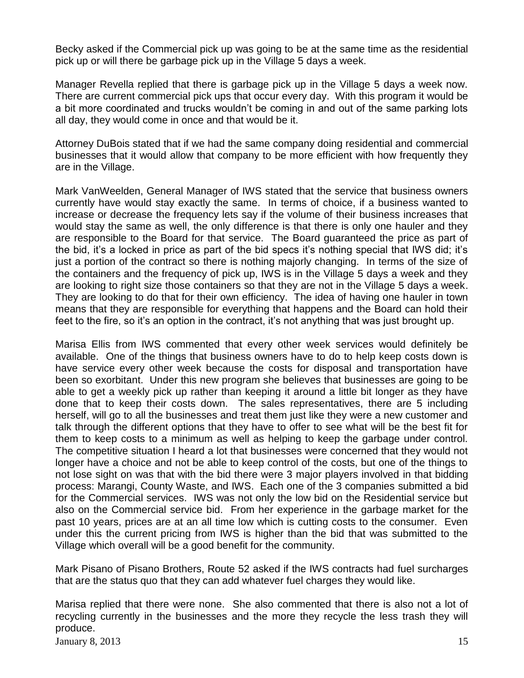Becky asked if the Commercial pick up was going to be at the same time as the residential pick up or will there be garbage pick up in the Village 5 days a week.

Manager Revella replied that there is garbage pick up in the Village 5 days a week now. There are current commercial pick ups that occur every day. With this program it would be a bit more coordinated and trucks wouldn't be coming in and out of the same parking lots all day, they would come in once and that would be it.

Attorney DuBois stated that if we had the same company doing residential and commercial businesses that it would allow that company to be more efficient with how frequently they are in the Village.

Mark VanWeelden, General Manager of IWS stated that the service that business owners currently have would stay exactly the same. In terms of choice, if a business wanted to increase or decrease the frequency lets say if the volume of their business increases that would stay the same as well, the only difference is that there is only one hauler and they are responsible to the Board for that service. The Board guaranteed the price as part of the bid, it's a locked in price as part of the bid specs it's nothing special that IWS did; it's just a portion of the contract so there is nothing majorly changing. In terms of the size of the containers and the frequency of pick up, IWS is in the Village 5 days a week and they are looking to right size those containers so that they are not in the Village 5 days a week. They are looking to do that for their own efficiency. The idea of having one hauler in town means that they are responsible for everything that happens and the Board can hold their feet to the fire, so it's an option in the contract, it's not anything that was just brought up.

Marisa Ellis from IWS commented that every other week services would definitely be available. One of the things that business owners have to do to help keep costs down is have service every other week because the costs for disposal and transportation have been so exorbitant. Under this new program she believes that businesses are going to be able to get a weekly pick up rather than keeping it around a little bit longer as they have done that to keep their costs down. The sales representatives, there are 5 including herself, will go to all the businesses and treat them just like they were a new customer and talk through the different options that they have to offer to see what will be the best fit for them to keep costs to a minimum as well as helping to keep the garbage under control. The competitive situation I heard a lot that businesses were concerned that they would not longer have a choice and not be able to keep control of the costs, but one of the things to not lose sight on was that with the bid there were 3 major players involved in that bidding process: Marangi, County Waste, and IWS. Each one of the 3 companies submitted a bid for the Commercial services. IWS was not only the low bid on the Residential service but also on the Commercial service bid. From her experience in the garbage market for the past 10 years, prices are at an all time low which is cutting costs to the consumer. Even under this the current pricing from IWS is higher than the bid that was submitted to the Village which overall will be a good benefit for the community.

Mark Pisano of Pisano Brothers, Route 52 asked if the IWS contracts had fuel surcharges that are the status quo that they can add whatever fuel charges they would like.

Marisa replied that there were none. She also commented that there is also not a lot of recycling currently in the businesses and the more they recycle the less trash they will produce.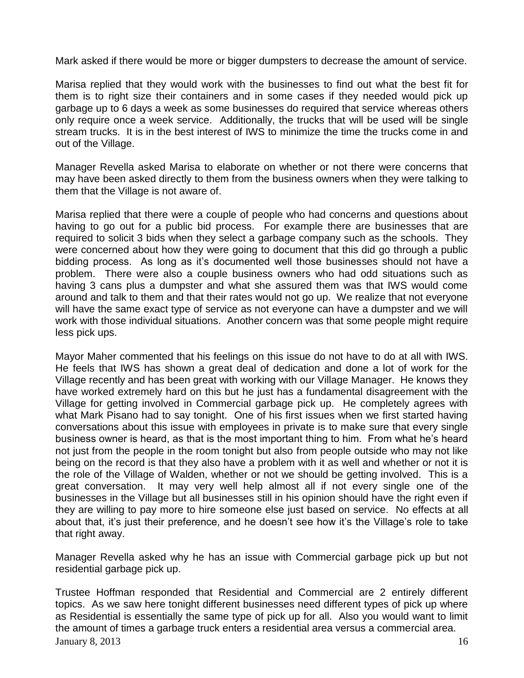Mark asked if there would be more or bigger dumpsters to decrease the amount of service.

Marisa replied that they would work with the businesses to find out what the best fit for them is to right size their containers and in some cases if they needed would pick up garbage up to 6 days a week as some businesses do required that service whereas others only require once a week service. Additionally, the trucks that will be used will be single stream trucks. It is in the best interest of IWS to minimize the time the trucks come in and out of the Village.

Manager Revella asked Marisa to elaborate on whether or not there were concerns that may have been asked directly to them from the business owners when they were talking to them that the Village is not aware of.

Marisa replied that there were a couple of people who had concerns and questions about having to go out for a public bid process. For example there are businesses that are required to solicit 3 bids when they select a garbage company such as the schools. They were concerned about how they were going to document that this did go through a public bidding process. As long as it's documented well those businesses should not have a problem. There were also a couple business owners who had odd situations such as having 3 cans plus a dumpster and what she assured them was that IWS would come around and talk to them and that their rates would not go up. We realize that not everyone will have the same exact type of service as not everyone can have a dumpster and we will work with those individual situations. Another concern was that some people might require less pick ups.

Mayor Maher commented that his feelings on this issue do not have to do at all with IWS. He feels that IWS has shown a great deal of dedication and done a lot of work for the Village recently and has been great with working with our Village Manager. He knows they have worked extremely hard on this but he just has a fundamental disagreement with the Village for getting involved in Commercial garbage pick up. He completely agrees with what Mark Pisano had to say tonight. One of his first issues when we first started having conversations about this issue with employees in private is to make sure that every single business owner is heard, as that is the most important thing to him. From what he's heard not just from the people in the room tonight but also from people outside who may not like being on the record is that they also have a problem with it as well and whether or not it is the role of the Village of Walden, whether or not we should be getting involved. This is a great conversation. It may very well help almost all if not every single one of the businesses in the Village but all businesses still in his opinion should have the right even if they are willing to pay more to hire someone else just based on service. No effects at all about that, it's just their preference, and he doesn't see how it's the Village's role to take that right away.

Manager Revella asked why he has an issue with Commercial garbage pick up but not residential garbage pick up.

January 8, 2013  $\frac{16}{5}$ Trustee Hoffman responded that Residential and Commercial are 2 entirely different topics. As we saw here tonight different businesses need different types of pick up where as Residential is essentially the same type of pick up for all. Also you would want to limit the amount of times a garbage truck enters a residential area versus a commercial area.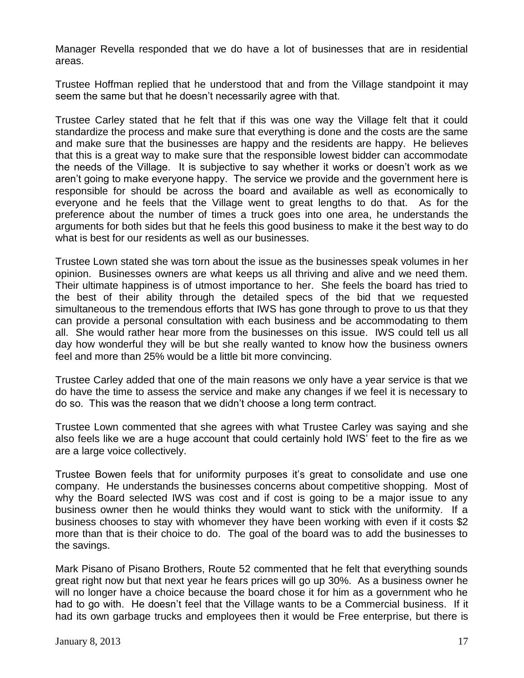Manager Revella responded that we do have a lot of businesses that are in residential areas.

Trustee Hoffman replied that he understood that and from the Village standpoint it may seem the same but that he doesn't necessarily agree with that.

Trustee Carley stated that he felt that if this was one way the Village felt that it could standardize the process and make sure that everything is done and the costs are the same and make sure that the businesses are happy and the residents are happy. He believes that this is a great way to make sure that the responsible lowest bidder can accommodate the needs of the Village. It is subjective to say whether it works or doesn't work as we aren't going to make everyone happy. The service we provide and the government here is responsible for should be across the board and available as well as economically to everyone and he feels that the Village went to great lengths to do that. As for the preference about the number of times a truck goes into one area, he understands the arguments for both sides but that he feels this good business to make it the best way to do what is best for our residents as well as our businesses.

Trustee Lown stated she was torn about the issue as the businesses speak volumes in her opinion. Businesses owners are what keeps us all thriving and alive and we need them. Their ultimate happiness is of utmost importance to her. She feels the board has tried to the best of their ability through the detailed specs of the bid that we requested simultaneous to the tremendous efforts that IWS has gone through to prove to us that they can provide a personal consultation with each business and be accommodating to them all. She would rather hear more from the businesses on this issue. IWS could tell us all day how wonderful they will be but she really wanted to know how the business owners feel and more than 25% would be a little bit more convincing.

Trustee Carley added that one of the main reasons we only have a year service is that we do have the time to assess the service and make any changes if we feel it is necessary to do so. This was the reason that we didn't choose a long term contract.

Trustee Lown commented that she agrees with what Trustee Carley was saying and she also feels like we are a huge account that could certainly hold IWS' feet to the fire as we are a large voice collectively.

Trustee Bowen feels that for uniformity purposes it's great to consolidate and use one company. He understands the businesses concerns about competitive shopping. Most of why the Board selected IWS was cost and if cost is going to be a major issue to any business owner then he would thinks they would want to stick with the uniformity. If a business chooses to stay with whomever they have been working with even if it costs \$2 more than that is their choice to do. The goal of the board was to add the businesses to the savings.

Mark Pisano of Pisano Brothers, Route 52 commented that he felt that everything sounds great right now but that next year he fears prices will go up 30%. As a business owner he will no longer have a choice because the board chose it for him as a government who he had to go with. He doesn't feel that the Village wants to be a Commercial business. If it had its own garbage trucks and employees then it would be Free enterprise, but there is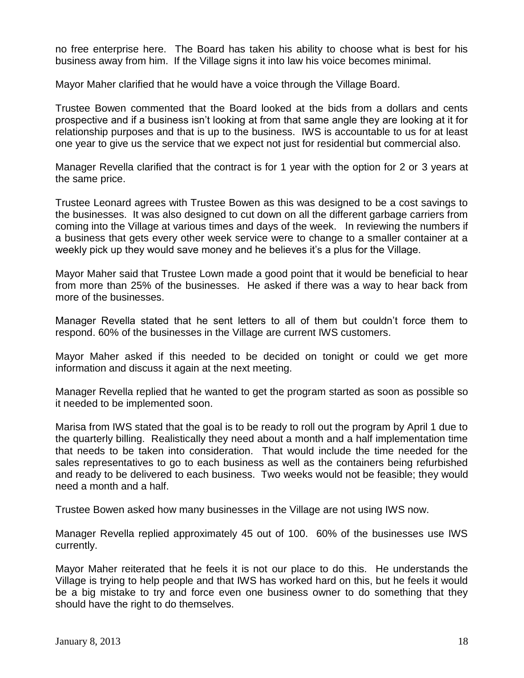no free enterprise here. The Board has taken his ability to choose what is best for his business away from him. If the Village signs it into law his voice becomes minimal.

Mayor Maher clarified that he would have a voice through the Village Board.

Trustee Bowen commented that the Board looked at the bids from a dollars and cents prospective and if a business isn't looking at from that same angle they are looking at it for relationship purposes and that is up to the business. IWS is accountable to us for at least one year to give us the service that we expect not just for residential but commercial also.

Manager Revella clarified that the contract is for 1 year with the option for 2 or 3 years at the same price.

Trustee Leonard agrees with Trustee Bowen as this was designed to be a cost savings to the businesses. It was also designed to cut down on all the different garbage carriers from coming into the Village at various times and days of the week. In reviewing the numbers if a business that gets every other week service were to change to a smaller container at a weekly pick up they would save money and he believes it's a plus for the Village.

Mayor Maher said that Trustee Lown made a good point that it would be beneficial to hear from more than 25% of the businesses. He asked if there was a way to hear back from more of the businesses.

Manager Revella stated that he sent letters to all of them but couldn't force them to respond. 60% of the businesses in the Village are current IWS customers.

Mayor Maher asked if this needed to be decided on tonight or could we get more information and discuss it again at the next meeting.

Manager Revella replied that he wanted to get the program started as soon as possible so it needed to be implemented soon.

Marisa from IWS stated that the goal is to be ready to roll out the program by April 1 due to the quarterly billing. Realistically they need about a month and a half implementation time that needs to be taken into consideration. That would include the time needed for the sales representatives to go to each business as well as the containers being refurbished and ready to be delivered to each business. Two weeks would not be feasible; they would need a month and a half.

Trustee Bowen asked how many businesses in the Village are not using IWS now.

Manager Revella replied approximately 45 out of 100. 60% of the businesses use IWS currently.

Mayor Maher reiterated that he feels it is not our place to do this. He understands the Village is trying to help people and that IWS has worked hard on this, but he feels it would be a big mistake to try and force even one business owner to do something that they should have the right to do themselves.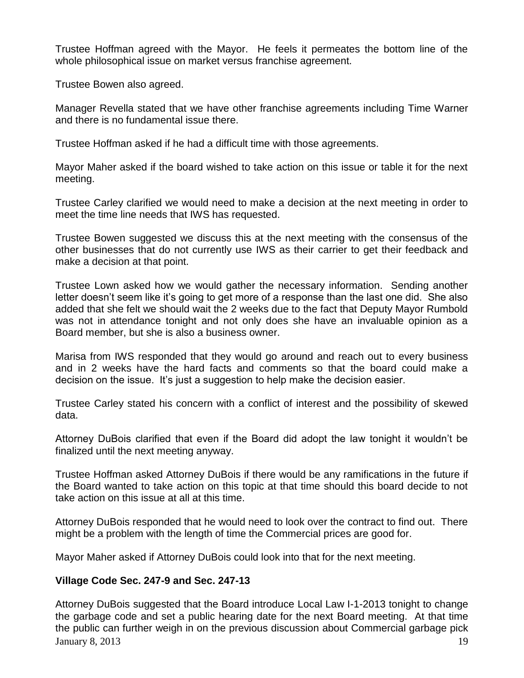Trustee Hoffman agreed with the Mayor. He feels it permeates the bottom line of the whole philosophical issue on market versus franchise agreement.

Trustee Bowen also agreed.

Manager Revella stated that we have other franchise agreements including Time Warner and there is no fundamental issue there.

Trustee Hoffman asked if he had a difficult time with those agreements.

Mayor Maher asked if the board wished to take action on this issue or table it for the next meeting.

Trustee Carley clarified we would need to make a decision at the next meeting in order to meet the time line needs that IWS has requested.

Trustee Bowen suggested we discuss this at the next meeting with the consensus of the other businesses that do not currently use IWS as their carrier to get their feedback and make a decision at that point.

Trustee Lown asked how we would gather the necessary information. Sending another letter doesn't seem like it's going to get more of a response than the last one did. She also added that she felt we should wait the 2 weeks due to the fact that Deputy Mayor Rumbold was not in attendance tonight and not only does she have an invaluable opinion as a Board member, but she is also a business owner.

Marisa from IWS responded that they would go around and reach out to every business and in 2 weeks have the hard facts and comments so that the board could make a decision on the issue. It's just a suggestion to help make the decision easier.

Trustee Carley stated his concern with a conflict of interest and the possibility of skewed data.

Attorney DuBois clarified that even if the Board did adopt the law tonight it wouldn't be finalized until the next meeting anyway.

Trustee Hoffman asked Attorney DuBois if there would be any ramifications in the future if the Board wanted to take action on this topic at that time should this board decide to not take action on this issue at all at this time.

Attorney DuBois responded that he would need to look over the contract to find out. There might be a problem with the length of time the Commercial prices are good for.

Mayor Maher asked if Attorney DuBois could look into that for the next meeting.

## **Village Code Sec. 247-9 and Sec. 247-13**

January 8, 2013  $\hspace{1.5cm}$  19 Attorney DuBois suggested that the Board introduce Local Law I-1-2013 tonight to change the garbage code and set a public hearing date for the next Board meeting. At that time the public can further weigh in on the previous discussion about Commercial garbage pick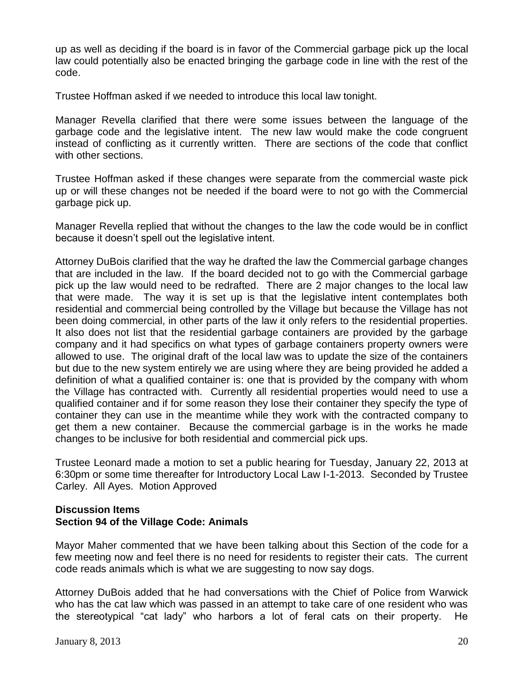up as well as deciding if the board is in favor of the Commercial garbage pick up the local law could potentially also be enacted bringing the garbage code in line with the rest of the code.

Trustee Hoffman asked if we needed to introduce this local law tonight.

Manager Revella clarified that there were some issues between the language of the garbage code and the legislative intent. The new law would make the code congruent instead of conflicting as it currently written. There are sections of the code that conflict with other sections.

Trustee Hoffman asked if these changes were separate from the commercial waste pick up or will these changes not be needed if the board were to not go with the Commercial garbage pick up.

Manager Revella replied that without the changes to the law the code would be in conflict because it doesn't spell out the legislative intent.

Attorney DuBois clarified that the way he drafted the law the Commercial garbage changes that are included in the law. If the board decided not to go with the Commercial garbage pick up the law would need to be redrafted. There are 2 major changes to the local law that were made. The way it is set up is that the legislative intent contemplates both residential and commercial being controlled by the Village but because the Village has not been doing commercial, in other parts of the law it only refers to the residential properties. It also does not list that the residential garbage containers are provided by the garbage company and it had specifics on what types of garbage containers property owners were allowed to use. The original draft of the local law was to update the size of the containers but due to the new system entirely we are using where they are being provided he added a definition of what a qualified container is: one that is provided by the company with whom the Village has contracted with. Currently all residential properties would need to use a qualified container and if for some reason they lose their container they specify the type of container they can use in the meantime while they work with the contracted company to get them a new container. Because the commercial garbage is in the works he made changes to be inclusive for both residential and commercial pick ups.

Trustee Leonard made a motion to set a public hearing for Tuesday, January 22, 2013 at 6:30pm or some time thereafter for Introductory Local Law I-1-2013. Seconded by Trustee Carley. All Ayes. Motion Approved

## **Discussion Items Section 94 of the Village Code: Animals**

Mayor Maher commented that we have been talking about this Section of the code for a few meeting now and feel there is no need for residents to register their cats. The current code reads animals which is what we are suggesting to now say dogs.

Attorney DuBois added that he had conversations with the Chief of Police from Warwick who has the cat law which was passed in an attempt to take care of one resident who was the stereotypical "cat lady" who harbors a lot of feral cats on their property. He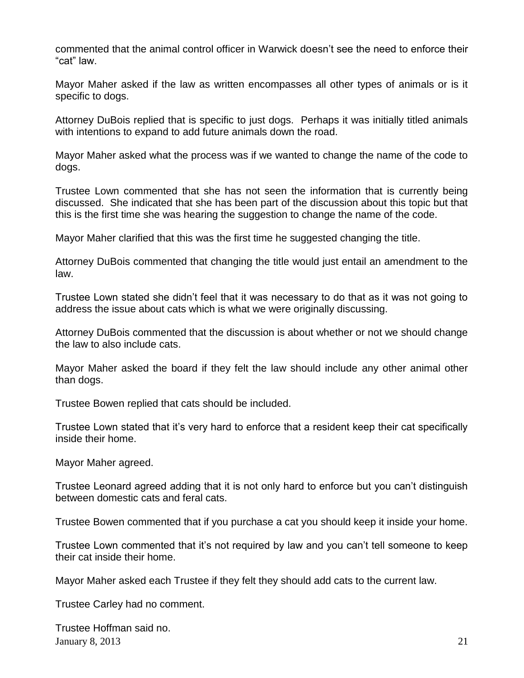commented that the animal control officer in Warwick doesn't see the need to enforce their "cat" law.

Mayor Maher asked if the law as written encompasses all other types of animals or is it specific to dogs.

Attorney DuBois replied that is specific to just dogs. Perhaps it was initially titled animals with intentions to expand to add future animals down the road.

Mayor Maher asked what the process was if we wanted to change the name of the code to dogs.

Trustee Lown commented that she has not seen the information that is currently being discussed. She indicated that she has been part of the discussion about this topic but that this is the first time she was hearing the suggestion to change the name of the code.

Mayor Maher clarified that this was the first time he suggested changing the title.

Attorney DuBois commented that changing the title would just entail an amendment to the law.

Trustee Lown stated she didn't feel that it was necessary to do that as it was not going to address the issue about cats which is what we were originally discussing.

Attorney DuBois commented that the discussion is about whether or not we should change the law to also include cats.

Mayor Maher asked the board if they felt the law should include any other animal other than dogs.

Trustee Bowen replied that cats should be included.

Trustee Lown stated that it's very hard to enforce that a resident keep their cat specifically inside their home.

Mayor Maher agreed.

Trustee Leonard agreed adding that it is not only hard to enforce but you can't distinguish between domestic cats and feral cats.

Trustee Bowen commented that if you purchase a cat you should keep it inside your home.

Trustee Lown commented that it's not required by law and you can't tell someone to keep their cat inside their home.

Mayor Maher asked each Trustee if they felt they should add cats to the current law.

Trustee Carley had no comment.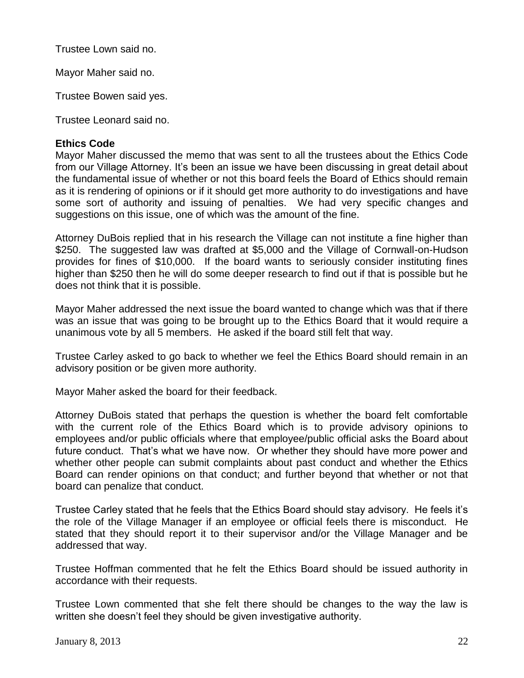Trustee Lown said no.

Mayor Maher said no.

Trustee Bowen said yes.

Trustee Leonard said no.

# **Ethics Code**

Mayor Maher discussed the memo that was sent to all the trustees about the Ethics Code from our Village Attorney. It's been an issue we have been discussing in great detail about the fundamental issue of whether or not this board feels the Board of Ethics should remain as it is rendering of opinions or if it should get more authority to do investigations and have some sort of authority and issuing of penalties. We had very specific changes and suggestions on this issue, one of which was the amount of the fine.

Attorney DuBois replied that in his research the Village can not institute a fine higher than \$250. The suggested law was drafted at \$5,000 and the Village of Cornwall-on-Hudson provides for fines of \$10,000. If the board wants to seriously consider instituting fines higher than \$250 then he will do some deeper research to find out if that is possible but he does not think that it is possible.

Mayor Maher addressed the next issue the board wanted to change which was that if there was an issue that was going to be brought up to the Ethics Board that it would require a unanimous vote by all 5 members. He asked if the board still felt that way.

Trustee Carley asked to go back to whether we feel the Ethics Board should remain in an advisory position or be given more authority.

Mayor Maher asked the board for their feedback.

Attorney DuBois stated that perhaps the question is whether the board felt comfortable with the current role of the Ethics Board which is to provide advisory opinions to employees and/or public officials where that employee/public official asks the Board about future conduct. That's what we have now. Or whether they should have more power and whether other people can submit complaints about past conduct and whether the Ethics Board can render opinions on that conduct; and further beyond that whether or not that board can penalize that conduct.

Trustee Carley stated that he feels that the Ethics Board should stay advisory. He feels it's the role of the Village Manager if an employee or official feels there is misconduct. He stated that they should report it to their supervisor and/or the Village Manager and be addressed that way.

Trustee Hoffman commented that he felt the Ethics Board should be issued authority in accordance with their requests.

Trustee Lown commented that she felt there should be changes to the way the law is written she doesn't feel they should be given investigative authority.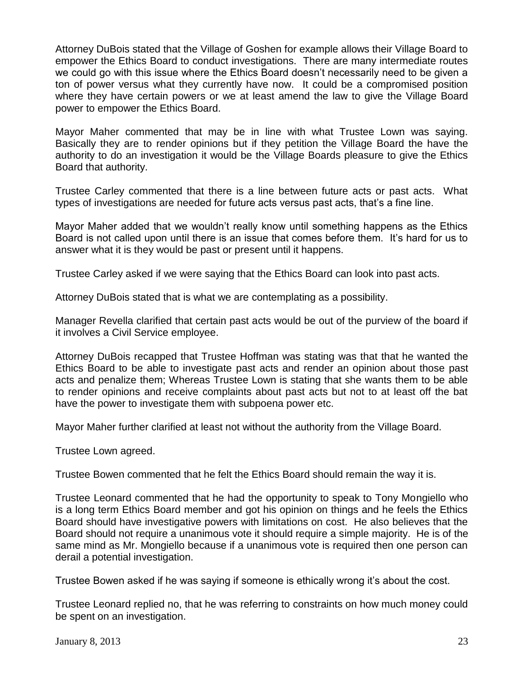Attorney DuBois stated that the Village of Goshen for example allows their Village Board to empower the Ethics Board to conduct investigations. There are many intermediate routes we could go with this issue where the Ethics Board doesn't necessarily need to be given a ton of power versus what they currently have now. It could be a compromised position where they have certain powers or we at least amend the law to give the Village Board power to empower the Ethics Board.

Mayor Maher commented that may be in line with what Trustee Lown was saying. Basically they are to render opinions but if they petition the Village Board the have the authority to do an investigation it would be the Village Boards pleasure to give the Ethics Board that authority.

Trustee Carley commented that there is a line between future acts or past acts. What types of investigations are needed for future acts versus past acts, that's a fine line.

Mayor Maher added that we wouldn't really know until something happens as the Ethics Board is not called upon until there is an issue that comes before them. It's hard for us to answer what it is they would be past or present until it happens.

Trustee Carley asked if we were saying that the Ethics Board can look into past acts.

Attorney DuBois stated that is what we are contemplating as a possibility.

Manager Revella clarified that certain past acts would be out of the purview of the board if it involves a Civil Service employee.

Attorney DuBois recapped that Trustee Hoffman was stating was that that he wanted the Ethics Board to be able to investigate past acts and render an opinion about those past acts and penalize them; Whereas Trustee Lown is stating that she wants them to be able to render opinions and receive complaints about past acts but not to at least off the bat have the power to investigate them with subpoena power etc.

Mayor Maher further clarified at least not without the authority from the Village Board.

Trustee Lown agreed.

Trustee Bowen commented that he felt the Ethics Board should remain the way it is.

Trustee Leonard commented that he had the opportunity to speak to Tony Mongiello who is a long term Ethics Board member and got his opinion on things and he feels the Ethics Board should have investigative powers with limitations on cost. He also believes that the Board should not require a unanimous vote it should require a simple majority. He is of the same mind as Mr. Mongiello because if a unanimous vote is required then one person can derail a potential investigation.

Trustee Bowen asked if he was saying if someone is ethically wrong it's about the cost.

Trustee Leonard replied no, that he was referring to constraints on how much money could be spent on an investigation.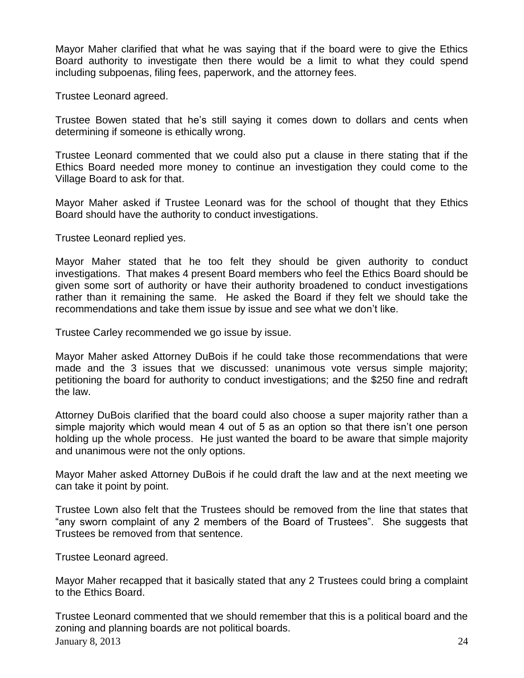Mayor Maher clarified that what he was saying that if the board were to give the Ethics Board authority to investigate then there would be a limit to what they could spend including subpoenas, filing fees, paperwork, and the attorney fees.

Trustee Leonard agreed.

Trustee Bowen stated that he's still saying it comes down to dollars and cents when determining if someone is ethically wrong.

Trustee Leonard commented that we could also put a clause in there stating that if the Ethics Board needed more money to continue an investigation they could come to the Village Board to ask for that.

Mayor Maher asked if Trustee Leonard was for the school of thought that they Ethics Board should have the authority to conduct investigations.

Trustee Leonard replied yes.

Mayor Maher stated that he too felt they should be given authority to conduct investigations. That makes 4 present Board members who feel the Ethics Board should be given some sort of authority or have their authority broadened to conduct investigations rather than it remaining the same. He asked the Board if they felt we should take the recommendations and take them issue by issue and see what we don't like.

Trustee Carley recommended we go issue by issue.

Mayor Maher asked Attorney DuBois if he could take those recommendations that were made and the 3 issues that we discussed: unanimous vote versus simple majority; petitioning the board for authority to conduct investigations; and the \$250 fine and redraft the law.

Attorney DuBois clarified that the board could also choose a super majority rather than a simple majority which would mean 4 out of 5 as an option so that there isn't one person holding up the whole process. He just wanted the board to be aware that simple majority and unanimous were not the only options.

Mayor Maher asked Attorney DuBois if he could draft the law and at the next meeting we can take it point by point.

Trustee Lown also felt that the Trustees should be removed from the line that states that "any sworn complaint of any 2 members of the Board of Trustees". She suggests that Trustees be removed from that sentence.

Trustee Leonard agreed.

Mayor Maher recapped that it basically stated that any 2 Trustees could bring a complaint to the Ethics Board.

January 8, 2013 24 Trustee Leonard commented that we should remember that this is a political board and the zoning and planning boards are not political boards.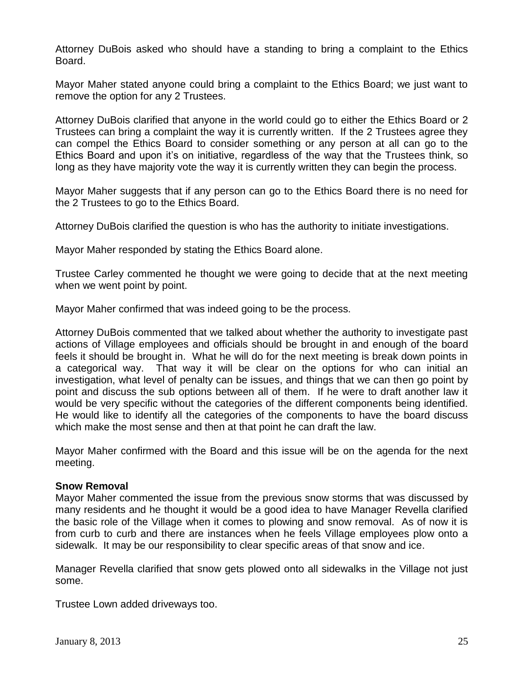Attorney DuBois asked who should have a standing to bring a complaint to the Ethics Board.

Mayor Maher stated anyone could bring a complaint to the Ethics Board; we just want to remove the option for any 2 Trustees.

Attorney DuBois clarified that anyone in the world could go to either the Ethics Board or 2 Trustees can bring a complaint the way it is currently written. If the 2 Trustees agree they can compel the Ethics Board to consider something or any person at all can go to the Ethics Board and upon it's on initiative, regardless of the way that the Trustees think, so long as they have majority vote the way it is currently written they can begin the process.

Mayor Maher suggests that if any person can go to the Ethics Board there is no need for the 2 Trustees to go to the Ethics Board.

Attorney DuBois clarified the question is who has the authority to initiate investigations.

Mayor Maher responded by stating the Ethics Board alone.

Trustee Carley commented he thought we were going to decide that at the next meeting when we went point by point.

Mayor Maher confirmed that was indeed going to be the process.

Attorney DuBois commented that we talked about whether the authority to investigate past actions of Village employees and officials should be brought in and enough of the board feels it should be brought in. What he will do for the next meeting is break down points in a categorical way. That way it will be clear on the options for who can initial an investigation, what level of penalty can be issues, and things that we can then go point by point and discuss the sub options between all of them. If he were to draft another law it would be very specific without the categories of the different components being identified. He would like to identify all the categories of the components to have the board discuss which make the most sense and then at that point he can draft the law.

Mayor Maher confirmed with the Board and this issue will be on the agenda for the next meeting.

#### **Snow Removal**

Mayor Maher commented the issue from the previous snow storms that was discussed by many residents and he thought it would be a good idea to have Manager Revella clarified the basic role of the Village when it comes to plowing and snow removal. As of now it is from curb to curb and there are instances when he feels Village employees plow onto a sidewalk. It may be our responsibility to clear specific areas of that snow and ice.

Manager Revella clarified that snow gets plowed onto all sidewalks in the Village not just some.

Trustee Lown added driveways too.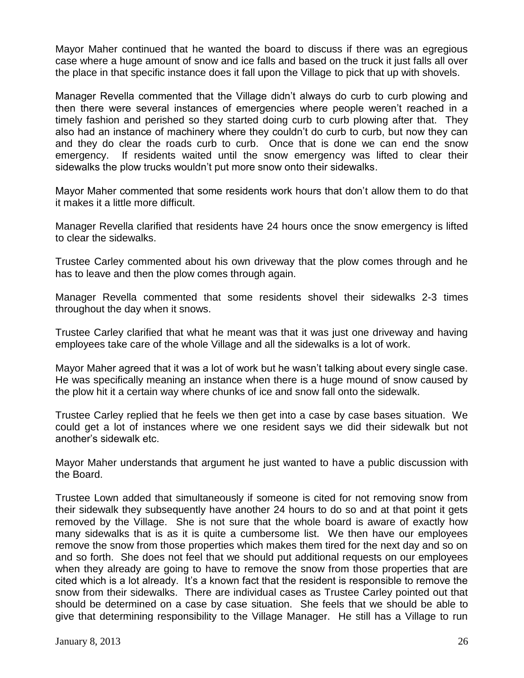Mayor Maher continued that he wanted the board to discuss if there was an egregious case where a huge amount of snow and ice falls and based on the truck it just falls all over the place in that specific instance does it fall upon the Village to pick that up with shovels.

Manager Revella commented that the Village didn't always do curb to curb plowing and then there were several instances of emergencies where people weren't reached in a timely fashion and perished so they started doing curb to curb plowing after that. They also had an instance of machinery where they couldn't do curb to curb, but now they can and they do clear the roads curb to curb. Once that is done we can end the snow emergency. If residents waited until the snow emergency was lifted to clear their sidewalks the plow trucks wouldn't put more snow onto their sidewalks.

Mayor Maher commented that some residents work hours that don't allow them to do that it makes it a little more difficult.

Manager Revella clarified that residents have 24 hours once the snow emergency is lifted to clear the sidewalks.

Trustee Carley commented about his own driveway that the plow comes through and he has to leave and then the plow comes through again.

Manager Revella commented that some residents shovel their sidewalks 2-3 times throughout the day when it snows.

Trustee Carley clarified that what he meant was that it was just one driveway and having employees take care of the whole Village and all the sidewalks is a lot of work.

Mayor Maher agreed that it was a lot of work but he wasn't talking about every single case. He was specifically meaning an instance when there is a huge mound of snow caused by the plow hit it a certain way where chunks of ice and snow fall onto the sidewalk.

Trustee Carley replied that he feels we then get into a case by case bases situation. We could get a lot of instances where we one resident says we did their sidewalk but not another's sidewalk etc.

Mayor Maher understands that argument he just wanted to have a public discussion with the Board.

Trustee Lown added that simultaneously if someone is cited for not removing snow from their sidewalk they subsequently have another 24 hours to do so and at that point it gets removed by the Village. She is not sure that the whole board is aware of exactly how many sidewalks that is as it is quite a cumbersome list. We then have our employees remove the snow from those properties which makes them tired for the next day and so on and so forth. She does not feel that we should put additional requests on our employees when they already are going to have to remove the snow from those properties that are cited which is a lot already. It's a known fact that the resident is responsible to remove the snow from their sidewalks. There are individual cases as Trustee Carley pointed out that should be determined on a case by case situation. She feels that we should be able to give that determining responsibility to the Village Manager. He still has a Village to run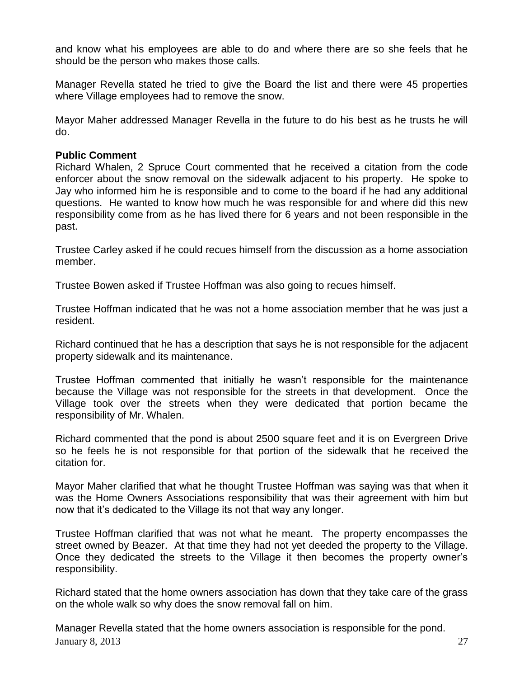and know what his employees are able to do and where there are so she feels that he should be the person who makes those calls.

Manager Revella stated he tried to give the Board the list and there were 45 properties where Village employees had to remove the snow.

Mayor Maher addressed Manager Revella in the future to do his best as he trusts he will do.

## **Public Comment**

Richard Whalen, 2 Spruce Court commented that he received a citation from the code enforcer about the snow removal on the sidewalk adjacent to his property. He spoke to Jay who informed him he is responsible and to come to the board if he had any additional questions. He wanted to know how much he was responsible for and where did this new responsibility come from as he has lived there for 6 years and not been responsible in the past.

Trustee Carley asked if he could recues himself from the discussion as a home association member.

Trustee Bowen asked if Trustee Hoffman was also going to recues himself.

Trustee Hoffman indicated that he was not a home association member that he was just a resident.

Richard continued that he has a description that says he is not responsible for the adjacent property sidewalk and its maintenance.

Trustee Hoffman commented that initially he wasn't responsible for the maintenance because the Village was not responsible for the streets in that development. Once the Village took over the streets when they were dedicated that portion became the responsibility of Mr. Whalen.

Richard commented that the pond is about 2500 square feet and it is on Evergreen Drive so he feels he is not responsible for that portion of the sidewalk that he received the citation for.

Mayor Maher clarified that what he thought Trustee Hoffman was saying was that when it was the Home Owners Associations responsibility that was their agreement with him but now that it's dedicated to the Village its not that way any longer.

Trustee Hoffman clarified that was not what he meant. The property encompasses the street owned by Beazer. At that time they had not yet deeded the property to the Village. Once they dedicated the streets to the Village it then becomes the property owner's responsibility.

Richard stated that the home owners association has down that they take care of the grass on the whole walk so why does the snow removal fall on him.

January 8, 2013 27 Manager Revella stated that the home owners association is responsible for the pond.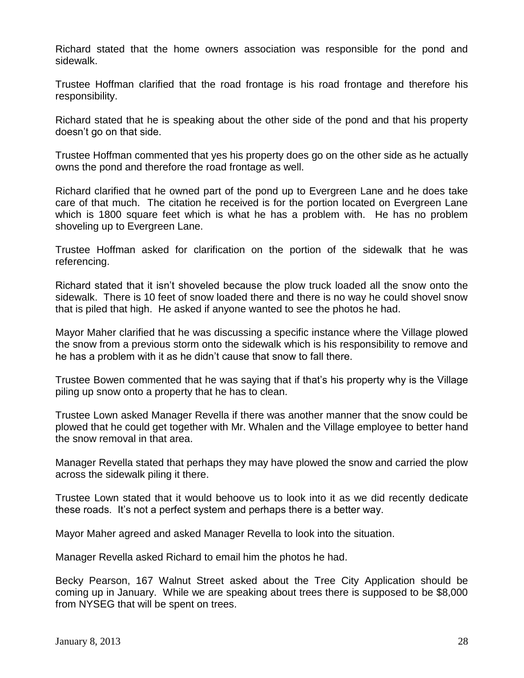Richard stated that the home owners association was responsible for the pond and sidewalk.

Trustee Hoffman clarified that the road frontage is his road frontage and therefore his responsibility.

Richard stated that he is speaking about the other side of the pond and that his property doesn't go on that side.

Trustee Hoffman commented that yes his property does go on the other side as he actually owns the pond and therefore the road frontage as well.

Richard clarified that he owned part of the pond up to Evergreen Lane and he does take care of that much. The citation he received is for the portion located on Evergreen Lane which is 1800 square feet which is what he has a problem with. He has no problem shoveling up to Evergreen Lane.

Trustee Hoffman asked for clarification on the portion of the sidewalk that he was referencing.

Richard stated that it isn't shoveled because the plow truck loaded all the snow onto the sidewalk. There is 10 feet of snow loaded there and there is no way he could shovel snow that is piled that high. He asked if anyone wanted to see the photos he had.

Mayor Maher clarified that he was discussing a specific instance where the Village plowed the snow from a previous storm onto the sidewalk which is his responsibility to remove and he has a problem with it as he didn't cause that snow to fall there.

Trustee Bowen commented that he was saying that if that's his property why is the Village piling up snow onto a property that he has to clean.

Trustee Lown asked Manager Revella if there was another manner that the snow could be plowed that he could get together with Mr. Whalen and the Village employee to better hand the snow removal in that area.

Manager Revella stated that perhaps they may have plowed the snow and carried the plow across the sidewalk piling it there.

Trustee Lown stated that it would behoove us to look into it as we did recently dedicate these roads. It's not a perfect system and perhaps there is a better way.

Mayor Maher agreed and asked Manager Revella to look into the situation.

Manager Revella asked Richard to email him the photos he had.

Becky Pearson, 167 Walnut Street asked about the Tree City Application should be coming up in January. While we are speaking about trees there is supposed to be \$8,000 from NYSEG that will be spent on trees.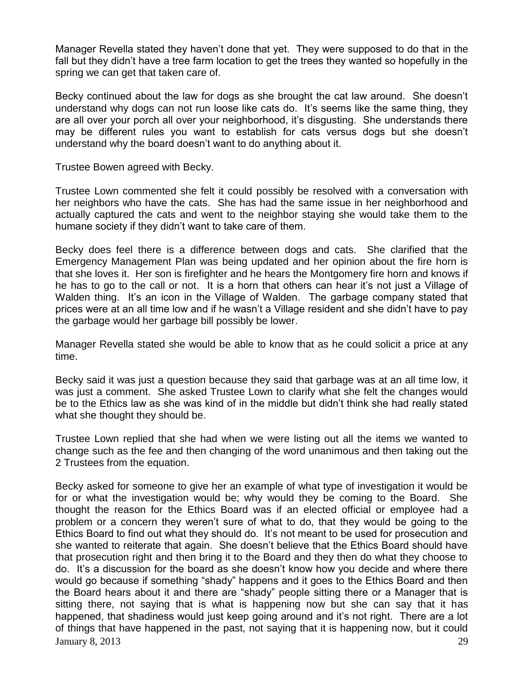Manager Revella stated they haven't done that yet. They were supposed to do that in the fall but they didn't have a tree farm location to get the trees they wanted so hopefully in the spring we can get that taken care of.

Becky continued about the law for dogs as she brought the cat law around. She doesn't understand why dogs can not run loose like cats do. It's seems like the same thing, they are all over your porch all over your neighborhood, it's disgusting. She understands there may be different rules you want to establish for cats versus dogs but she doesn't understand why the board doesn't want to do anything about it.

Trustee Bowen agreed with Becky.

Trustee Lown commented she felt it could possibly be resolved with a conversation with her neighbors who have the cats. She has had the same issue in her neighborhood and actually captured the cats and went to the neighbor staying she would take them to the humane society if they didn't want to take care of them.

Becky does feel there is a difference between dogs and cats. She clarified that the Emergency Management Plan was being updated and her opinion about the fire horn is that she loves it. Her son is firefighter and he hears the Montgomery fire horn and knows if he has to go to the call or not. It is a horn that others can hear it's not just a Village of Walden thing. It's an icon in the Village of Walden. The garbage company stated that prices were at an all time low and if he wasn't a Village resident and she didn't have to pay the garbage would her garbage bill possibly be lower.

Manager Revella stated she would be able to know that as he could solicit a price at any time.

Becky said it was just a question because they said that garbage was at an all time low, it was just a comment. She asked Trustee Lown to clarify what she felt the changes would be to the Ethics law as she was kind of in the middle but didn't think she had really stated what she thought they should be.

Trustee Lown replied that she had when we were listing out all the items we wanted to change such as the fee and then changing of the word unanimous and then taking out the 2 Trustees from the equation.

January 8, 2013  $\hspace{1.5cm}$  29 Becky asked for someone to give her an example of what type of investigation it would be for or what the investigation would be; why would they be coming to the Board. She thought the reason for the Ethics Board was if an elected official or employee had a problem or a concern they weren't sure of what to do, that they would be going to the Ethics Board to find out what they should do. It's not meant to be used for prosecution and she wanted to reiterate that again. She doesn't believe that the Ethics Board should have that prosecution right and then bring it to the Board and they then do what they choose to do. It's a discussion for the board as she doesn't know how you decide and where there would go because if something "shady" happens and it goes to the Ethics Board and then the Board hears about it and there are "shady" people sitting there or a Manager that is sitting there, not saying that is what is happening now but she can say that it has happened, that shadiness would just keep going around and it's not right. There are a lot of things that have happened in the past, not saying that it is happening now, but it could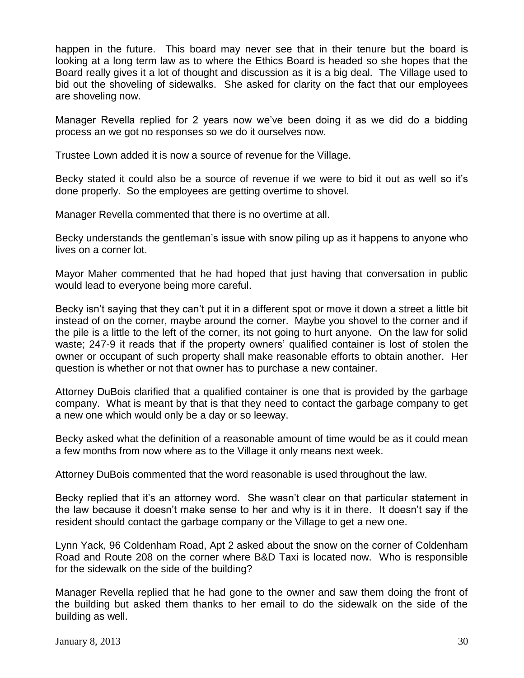happen in the future. This board may never see that in their tenure but the board is looking at a long term law as to where the Ethics Board is headed so she hopes that the Board really gives it a lot of thought and discussion as it is a big deal. The Village used to bid out the shoveling of sidewalks. She asked for clarity on the fact that our employees are shoveling now.

Manager Revella replied for 2 years now we've been doing it as we did do a bidding process an we got no responses so we do it ourselves now.

Trustee Lown added it is now a source of revenue for the Village.

Becky stated it could also be a source of revenue if we were to bid it out as well so it's done properly. So the employees are getting overtime to shovel.

Manager Revella commented that there is no overtime at all.

Becky understands the gentleman's issue with snow piling up as it happens to anyone who lives on a corner lot.

Mayor Maher commented that he had hoped that just having that conversation in public would lead to everyone being more careful.

Becky isn't saying that they can't put it in a different spot or move it down a street a little bit instead of on the corner, maybe around the corner. Maybe you shovel to the corner and if the pile is a little to the left of the corner, its not going to hurt anyone. On the law for solid waste; 247-9 it reads that if the property owners' qualified container is lost of stolen the owner or occupant of such property shall make reasonable efforts to obtain another. Her question is whether or not that owner has to purchase a new container.

Attorney DuBois clarified that a qualified container is one that is provided by the garbage company. What is meant by that is that they need to contact the garbage company to get a new one which would only be a day or so leeway.

Becky asked what the definition of a reasonable amount of time would be as it could mean a few months from now where as to the Village it only means next week.

Attorney DuBois commented that the word reasonable is used throughout the law.

Becky replied that it's an attorney word. She wasn't clear on that particular statement in the law because it doesn't make sense to her and why is it in there. It doesn't say if the resident should contact the garbage company or the Village to get a new one.

Lynn Yack, 96 Coldenham Road, Apt 2 asked about the snow on the corner of Coldenham Road and Route 208 on the corner where B&D Taxi is located now. Who is responsible for the sidewalk on the side of the building?

Manager Revella replied that he had gone to the owner and saw them doing the front of the building but asked them thanks to her email to do the sidewalk on the side of the building as well.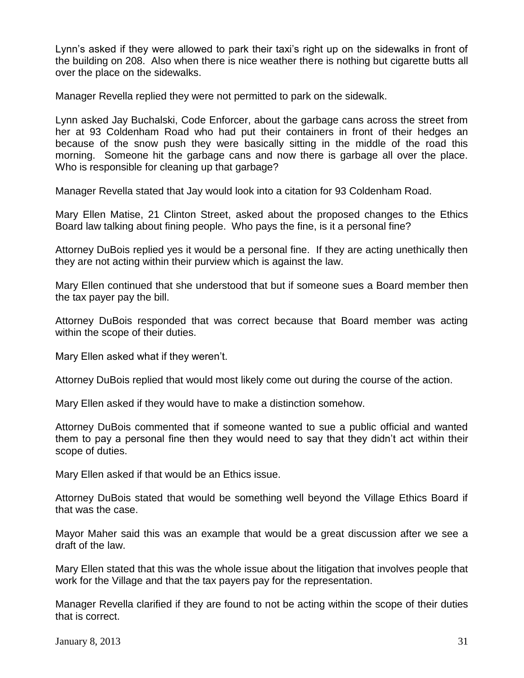Lynn's asked if they were allowed to park their taxi's right up on the sidewalks in front of the building on 208. Also when there is nice weather there is nothing but cigarette butts all over the place on the sidewalks.

Manager Revella replied they were not permitted to park on the sidewalk.

Lynn asked Jay Buchalski, Code Enforcer, about the garbage cans across the street from her at 93 Coldenham Road who had put their containers in front of their hedges an because of the snow push they were basically sitting in the middle of the road this morning. Someone hit the garbage cans and now there is garbage all over the place. Who is responsible for cleaning up that garbage?

Manager Revella stated that Jay would look into a citation for 93 Coldenham Road.

Mary Ellen Matise, 21 Clinton Street, asked about the proposed changes to the Ethics Board law talking about fining people. Who pays the fine, is it a personal fine?

Attorney DuBois replied yes it would be a personal fine. If they are acting unethically then they are not acting within their purview which is against the law.

Mary Ellen continued that she understood that but if someone sues a Board member then the tax payer pay the bill.

Attorney DuBois responded that was correct because that Board member was acting within the scope of their duties.

Mary Ellen asked what if they weren't.

Attorney DuBois replied that would most likely come out during the course of the action.

Mary Ellen asked if they would have to make a distinction somehow.

Attorney DuBois commented that if someone wanted to sue a public official and wanted them to pay a personal fine then they would need to say that they didn't act within their scope of duties.

Mary Ellen asked if that would be an Ethics issue.

Attorney DuBois stated that would be something well beyond the Village Ethics Board if that was the case.

Mayor Maher said this was an example that would be a great discussion after we see a draft of the law.

Mary Ellen stated that this was the whole issue about the litigation that involves people that work for the Village and that the tax payers pay for the representation.

Manager Revella clarified if they are found to not be acting within the scope of their duties that is correct.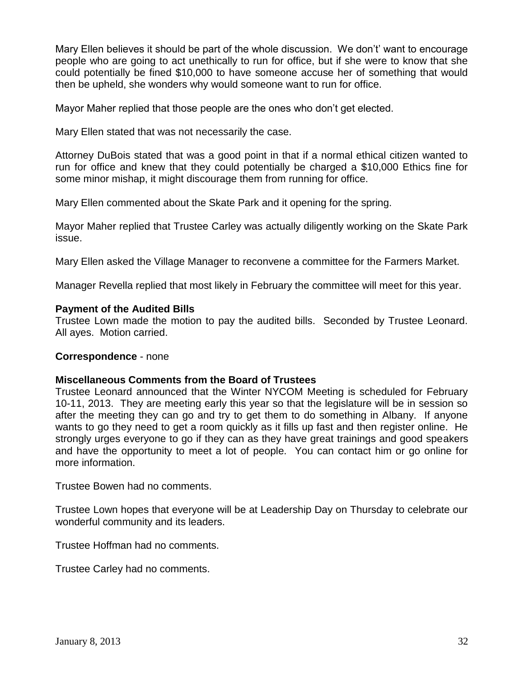Mary Ellen believes it should be part of the whole discussion. We don't' want to encourage people who are going to act unethically to run for office, but if she were to know that she could potentially be fined \$10,000 to have someone accuse her of something that would then be upheld, she wonders why would someone want to run for office.

Mayor Maher replied that those people are the ones who don't get elected.

Mary Ellen stated that was not necessarily the case.

Attorney DuBois stated that was a good point in that if a normal ethical citizen wanted to run for office and knew that they could potentially be charged a \$10,000 Ethics fine for some minor mishap, it might discourage them from running for office.

Mary Ellen commented about the Skate Park and it opening for the spring.

Mayor Maher replied that Trustee Carley was actually diligently working on the Skate Park issue.

Mary Ellen asked the Village Manager to reconvene a committee for the Farmers Market.

Manager Revella replied that most likely in February the committee will meet for this year.

#### **Payment of the Audited Bills**

Trustee Lown made the motion to pay the audited bills. Seconded by Trustee Leonard. All ayes. Motion carried.

#### **Correspondence** - none

#### **Miscellaneous Comments from the Board of Trustees**

Trustee Leonard announced that the Winter NYCOM Meeting is scheduled for February 10-11, 2013. They are meeting early this year so that the legislature will be in session so after the meeting they can go and try to get them to do something in Albany. If anyone wants to go they need to get a room quickly as it fills up fast and then register online. He strongly urges everyone to go if they can as they have great trainings and good speakers and have the opportunity to meet a lot of people. You can contact him or go online for more information.

Trustee Bowen had no comments.

Trustee Lown hopes that everyone will be at Leadership Day on Thursday to celebrate our wonderful community and its leaders.

Trustee Hoffman had no comments.

Trustee Carley had no comments.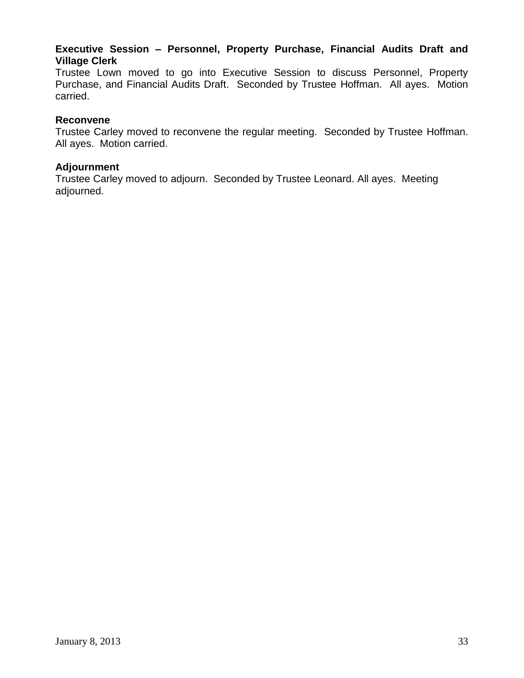# **Executive Session – Personnel, Property Purchase, Financial Audits Draft and Village Clerk**

Trustee Lown moved to go into Executive Session to discuss Personnel, Property Purchase, and Financial Audits Draft. Seconded by Trustee Hoffman. All ayes. Motion carried.

#### **Reconvene**

Trustee Carley moved to reconvene the regular meeting. Seconded by Trustee Hoffman. All ayes. Motion carried.

## **Adjournment**

Trustee Carley moved to adjourn. Seconded by Trustee Leonard. All ayes. Meeting adjourned.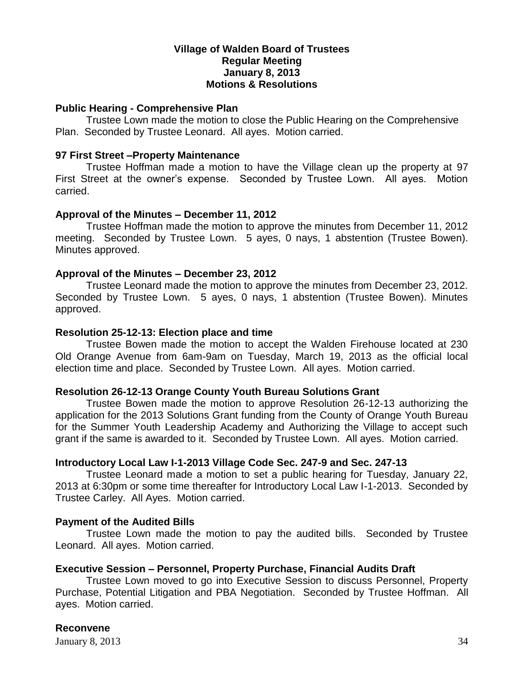## **Village of Walden Board of Trustees Regular Meeting January 8, 2013 Motions & Resolutions**

#### **Public Hearing - Comprehensive Plan**

Trustee Lown made the motion to close the Public Hearing on the Comprehensive Plan. Seconded by Trustee Leonard. All ayes. Motion carried.

#### **97 First Street –Property Maintenance**

Trustee Hoffman made a motion to have the Village clean up the property at 97 First Street at the owner's expense. Seconded by Trustee Lown. All ayes. Motion carried.

#### **Approval of the Minutes – December 11, 2012**

Trustee Hoffman made the motion to approve the minutes from December 11, 2012 meeting. Seconded by Trustee Lown. 5 ayes, 0 nays, 1 abstention (Trustee Bowen). Minutes approved.

## **Approval of the Minutes – December 23, 2012**

Trustee Leonard made the motion to approve the minutes from December 23, 2012. Seconded by Trustee Lown. 5 ayes, 0 nays, 1 abstention (Trustee Bowen). Minutes approved.

#### **Resolution 25-12-13: Election place and time**

Trustee Bowen made the motion to accept the Walden Firehouse located at 230 Old Orange Avenue from 6am-9am on Tuesday, March 19, 2013 as the official local election time and place. Seconded by Trustee Lown. All ayes. Motion carried.

## **Resolution 26-12-13 Orange County Youth Bureau Solutions Grant**

Trustee Bowen made the motion to approve Resolution 26-12-13 authorizing the application for the 2013 Solutions Grant funding from the County of Orange Youth Bureau for the Summer Youth Leadership Academy and Authorizing the Village to accept such grant if the same is awarded to it. Seconded by Trustee Lown. All ayes. Motion carried.

## **Introductory Local Law I-1-2013 Village Code Sec. 247-9 and Sec. 247-13**

Trustee Leonard made a motion to set a public hearing for Tuesday, January 22, 2013 at 6:30pm or some time thereafter for Introductory Local Law I-1-2013. Seconded by Trustee Carley. All Ayes. Motion carried.

#### **Payment of the Audited Bills**

Trustee Lown made the motion to pay the audited bills. Seconded by Trustee Leonard. All ayes. Motion carried.

#### **Executive Session – Personnel, Property Purchase, Financial Audits Draft**

Trustee Lown moved to go into Executive Session to discuss Personnel, Property Purchase, Potential Litigation and PBA Negotiation. Seconded by Trustee Hoffman. All ayes. Motion carried.

## **Reconvene**

**January 8, 2013** 34